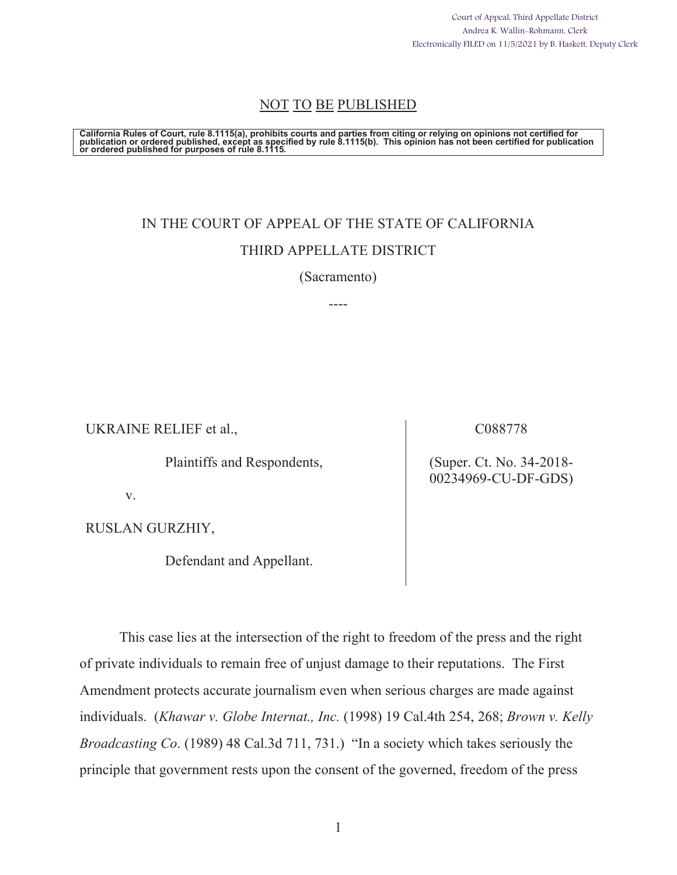Court of Appeal, Third Appellate District Andrea K. Wallin-Rohmann, Clerk Electronically FILED on 11/5/2021 by B. Haskett, Deputy Clerk

## NOT TO BE PUBLISHED

California Rules of Court, rule 8.1115(a), prohibits courts and parties from citing or relying on opinions not certified for<br>publication or ordered published, except as specified by rule 8.1115(b). This opinion has not bee

# IN THE COURT OF APPEAL OF THE STATE OF CALIFORNIA THIRD APPELLATE DISTRICT

(Sacramento)

----

UKRAINE RELIEF et al.,

Plaintiffs and Respondents,

C088778

(Super. Ct. No. 34-2018- 00234969-CU-DF-GDS)

v.

RUSLAN GURZHIY,

Defendant and Appellant.

This case lies at the intersection of the right to freedom of the press and the right of private individuals to remain free of unjust damage to their reputations. The First Amendment protects accurate journalism even when serious charges are made against individuals. (*Khawar v. Globe Internat., Inc.* (1998) 19 Cal.4th 254, 268; *Brown v. Kelly Broadcasting Co*. (1989) 48 Cal.3d 711, 731.) "In a society which takes seriously the principle that government rests upon the consent of the governed, freedom of the press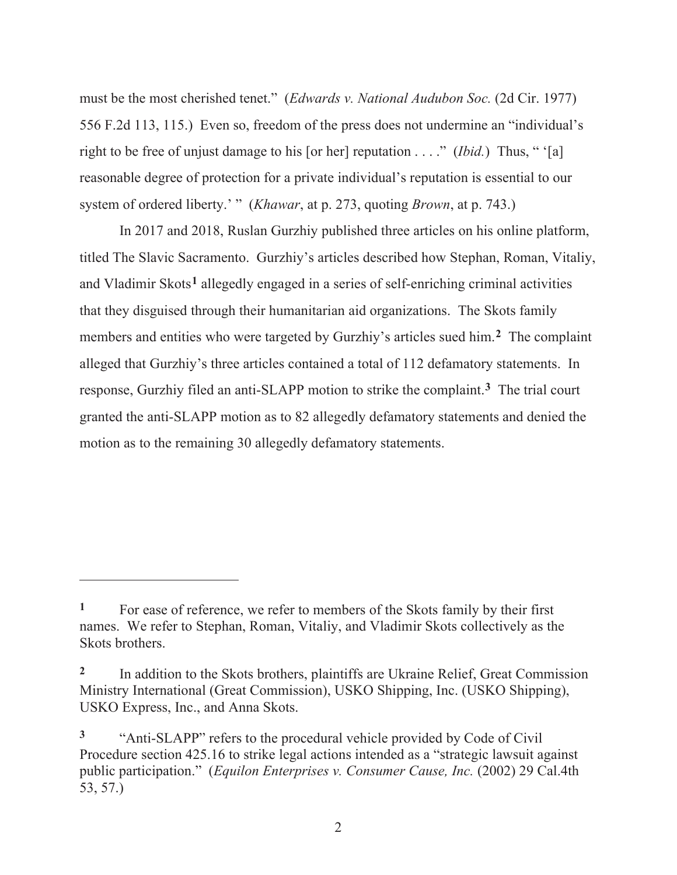must be the most cherished tenet." (*Edwards v. National Audubon Soc.* (2d Cir. 1977) 556 F.2d 113, 115.) Even so, freedom of the press does not undermine an "individual's right to be free of unjust damage to his [or her] reputation . . . ." (*Ibid.*) Thus, " '[a] reasonable degree of protection for a private individual's reputation is essential to our system of ordered liberty.' " (*Khawar*, at p. 273, quoting *Brown*, at p. 743.)

In 2017 and 2018, Ruslan Gurzhiy published three articles on his online platform, titled The Slavic Sacramento. Gurzhiy's articles described how Stephan, Roman, Vitaliy, and Vladimir Skots**1** allegedly engaged in a series of self-enriching criminal activities that they disguised through their humanitarian aid organizations. The Skots family members and entities who were targeted by Gurzhiy's articles sued him.**2** The complaint alleged that Gurzhiy's three articles contained a total of 112 defamatory statements. In response, Gurzhiy filed an anti-SLAPP motion to strike the complaint.**3** The trial court granted the anti-SLAPP motion as to 82 allegedly defamatory statements and denied the motion as to the remaining 30 allegedly defamatory statements.

<sup>&</sup>lt;sup>1</sup> For ease of reference, we refer to members of the Skots family by their first names. We refer to Stephan, Roman, Vitaliy, and Vladimir Skots collectively as the Skots brothers.

<sup>&</sup>lt;sup>2</sup> In addition to the Skots brothers, plaintiffs are Ukraine Relief, Great Commission Ministry International (Great Commission), USKO Shipping, Inc. (USKO Shipping), USKO Express, Inc., and Anna Skots.

**<sup>3</sup>** "Anti-SLAPP" refers to the procedural vehicle provided by Code of Civil Procedure section 425.16 to strike legal actions intended as a "strategic lawsuit against public participation." (*Equilon Enterprises v. Consumer Cause, Inc.* (2002) 29 Cal.4th 53, 57.)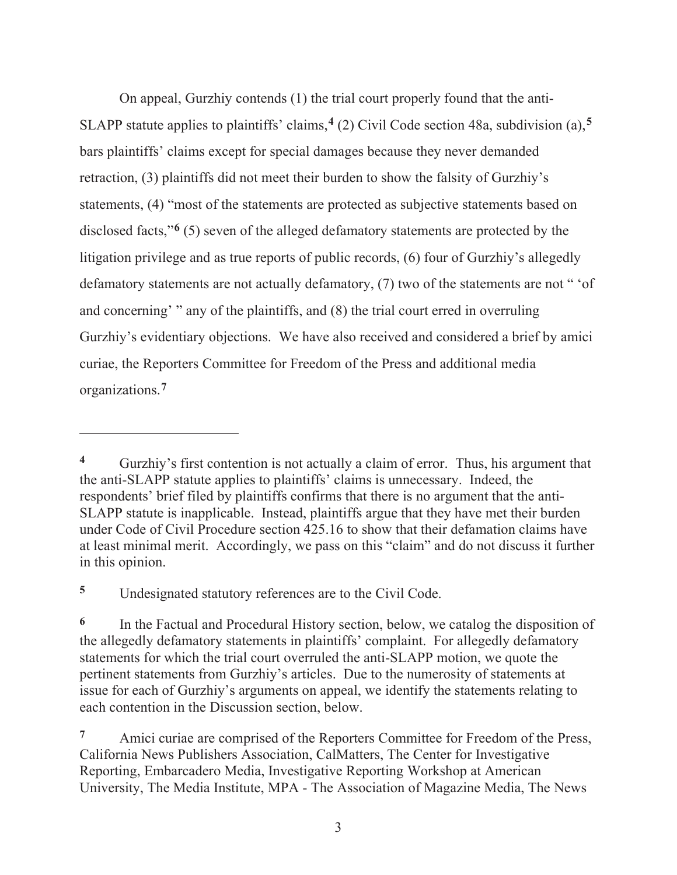On appeal, Gurzhiy contends (1) the trial court properly found that the anti-SLAPP statute applies to plaintiffs' claims,**4** (2) Civil Code section 48a, subdivision (a),**<sup>5</sup>** bars plaintiffs' claims except for special damages because they never demanded retraction, (3) plaintiffs did not meet their burden to show the falsity of Gurzhiy's statements, (4) "most of the statements are protected as subjective statements based on disclosed facts,"**6** (5) seven of the alleged defamatory statements are protected by the litigation privilege and as true reports of public records, (6) four of Gurzhiy's allegedly defamatory statements are not actually defamatory, (7) two of the statements are not " 'of and concerning' " any of the plaintiffs, and (8) the trial court erred in overruling Gurzhiy's evidentiary objections. We have also received and considered a brief by amici curiae, the Reporters Committee for Freedom of the Press and additional media organizations.**<sup>7</sup>**

**<sup>5</sup>** Undesignated statutory references are to the Civil Code.

**<sup>4</sup>** Gurzhiy's first contention is not actually a claim of error. Thus, his argument that the anti-SLAPP statute applies to plaintiffs' claims is unnecessary. Indeed, the respondents' brief filed by plaintiffs confirms that there is no argument that the anti-SLAPP statute is inapplicable. Instead, plaintiffs argue that they have met their burden under Code of Civil Procedure section 425.16 to show that their defamation claims have at least minimal merit. Accordingly, we pass on this "claim" and do not discuss it further in this opinion.

<sup>&</sup>lt;sup>6</sup> In the Factual and Procedural History section, below, we catalog the disposition of the allegedly defamatory statements in plaintiffs' complaint. For allegedly defamatory statements for which the trial court overruled the anti-SLAPP motion, we quote the pertinent statements from Gurzhiy's articles. Due to the numerosity of statements at issue for each of Gurzhiy's arguments on appeal, we identify the statements relating to each contention in the Discussion section, below.

<sup>&</sup>lt;sup>7</sup> Amici curiae are comprised of the Reporters Committee for Freedom of the Press, California News Publishers Association, CalMatters, The Center for Investigative Reporting, Embarcadero Media, Investigative Reporting Workshop at American University, The Media Institute, MPA - The Association of Magazine Media, The News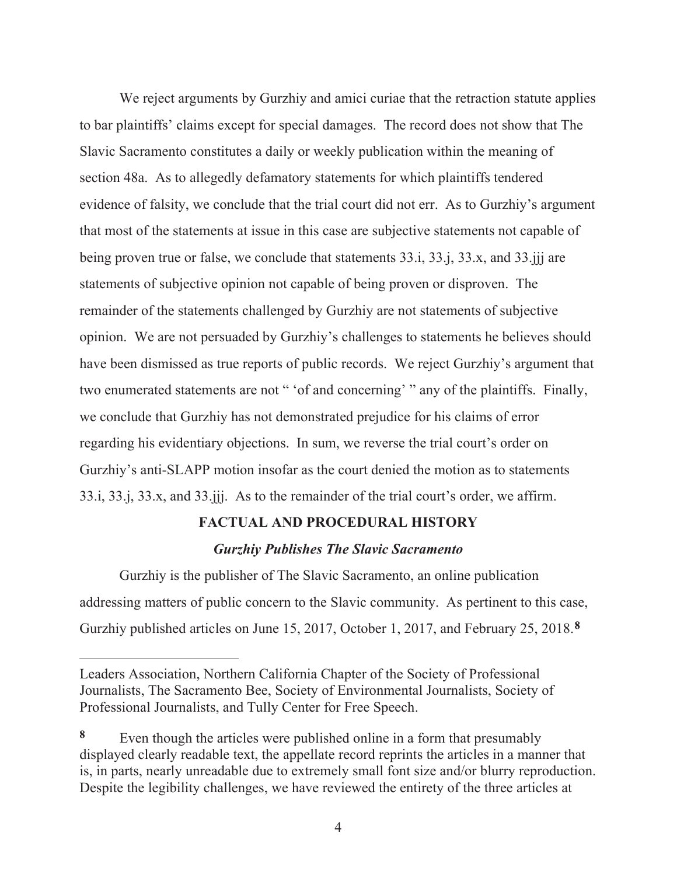We reject arguments by Gurzhiy and amici curiae that the retraction statute applies to bar plaintiffs' claims except for special damages. The record does not show that The Slavic Sacramento constitutes a daily or weekly publication within the meaning of section 48a. As to allegedly defamatory statements for which plaintiffs tendered evidence of falsity, we conclude that the trial court did not err. As to Gurzhiy's argument that most of the statements at issue in this case are subjective statements not capable of being proven true or false, we conclude that statements 33.i, 33.j, 33.x, and 33.jjj are statements of subjective opinion not capable of being proven or disproven. The remainder of the statements challenged by Gurzhiy are not statements of subjective opinion. We are not persuaded by Gurzhiy's challenges to statements he believes should have been dismissed as true reports of public records. We reject Gurzhiy's argument that two enumerated statements are not " 'of and concerning' " any of the plaintiffs. Finally, we conclude that Gurzhiy has not demonstrated prejudice for his claims of error regarding his evidentiary objections. In sum, we reverse the trial court's order on Gurzhiy's anti-SLAPP motion insofar as the court denied the motion as to statements 33.i, 33.j, 33.x, and 33.jjj. As to the remainder of the trial court's order, we affirm.

#### **FACTUAL AND PROCEDURAL HISTORY**

#### *Gurzhiy Publishes The Slavic Sacramento*

Gurzhiy is the publisher of The Slavic Sacramento, an online publication addressing matters of public concern to the Slavic community. As pertinent to this case, Gurzhiy published articles on June 15, 2017, October 1, 2017, and February 25, 2018.**<sup>8</sup>**

Leaders Association, Northern California Chapter of the Society of Professional Journalists, The Sacramento Bee, Society of Environmental Journalists, Society of Professional Journalists, and Tully Center for Free Speech.

**<sup>8</sup>** Even though the articles were published online in a form that presumably displayed clearly readable text, the appellate record reprints the articles in a manner that is, in parts, nearly unreadable due to extremely small font size and/or blurry reproduction. Despite the legibility challenges, we have reviewed the entirety of the three articles at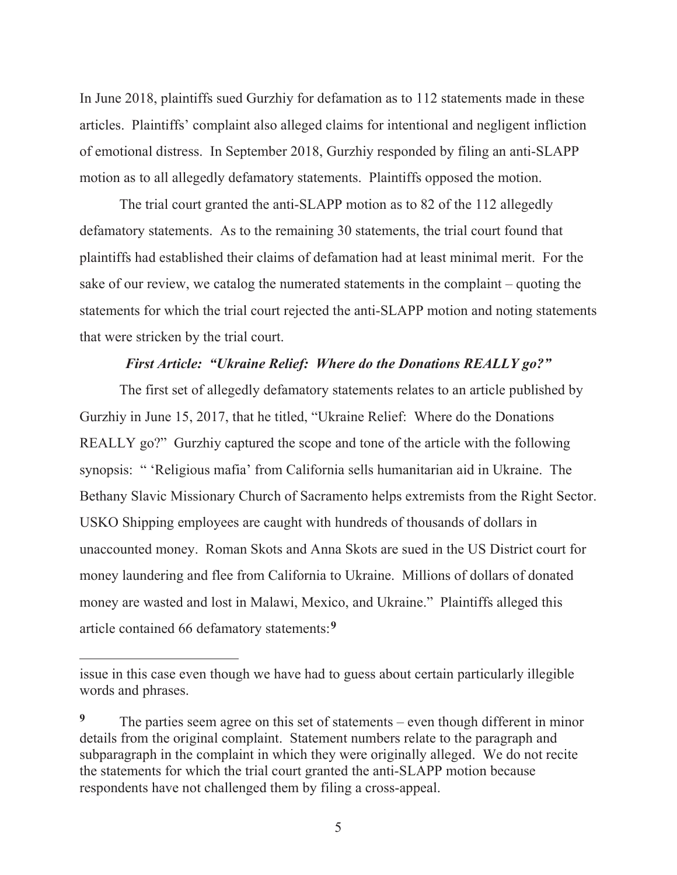In June 2018, plaintiffs sued Gurzhiy for defamation as to 112 statements made in these articles. Plaintiffs' complaint also alleged claims for intentional and negligent infliction of emotional distress. In September 2018, Gurzhiy responded by filing an anti-SLAPP motion as to all allegedly defamatory statements. Plaintiffs opposed the motion.

The trial court granted the anti-SLAPP motion as to 82 of the 112 allegedly defamatory statements. As to the remaining 30 statements, the trial court found that plaintiffs had established their claims of defamation had at least minimal merit. For the sake of our review, we catalog the numerated statements in the complaint – quoting the statements for which the trial court rejected the anti-SLAPP motion and noting statements that were stricken by the trial court.

#### *First Article: "Ukraine Relief: Where do the Donations REALLY go?"*

The first set of allegedly defamatory statements relates to an article published by Gurzhiy in June 15, 2017, that he titled, "Ukraine Relief: Where do the Donations REALLY go?" Gurzhiy captured the scope and tone of the article with the following synopsis: " 'Religious mafia' from California sells humanitarian aid in Ukraine. The Bethany Slavic Missionary Church of Sacramento helps extremists from the Right Sector. USKO Shipping employees are caught with hundreds of thousands of dollars in unaccounted money. Roman Skots and Anna Skots are sued in the US District court for money laundering and flee from California to Ukraine. Millions of dollars of donated money are wasted and lost in Malawi, Mexico, and Ukraine." Plaintiffs alleged this article contained 66 defamatory statements:**<sup>9</sup>**

issue in this case even though we have had to guess about certain particularly illegible words and phrases.

<sup>&</sup>lt;sup>9</sup> The parties seem agree on this set of statements – even though different in minor details from the original complaint. Statement numbers relate to the paragraph and subparagraph in the complaint in which they were originally alleged. We do not recite the statements for which the trial court granted the anti-SLAPP motion because respondents have not challenged them by filing a cross-appeal.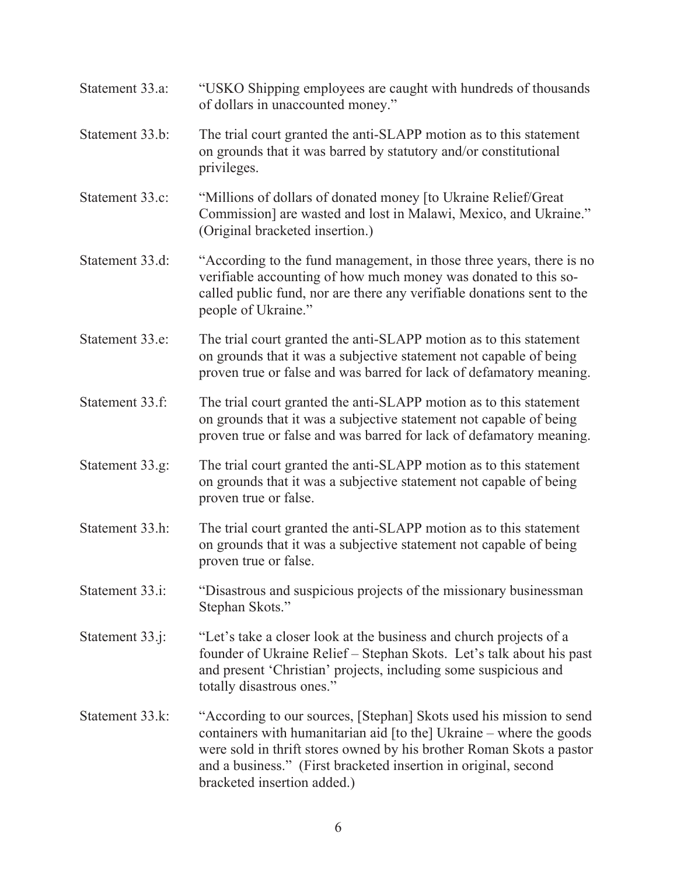| Statement 33.a: | "USKO Shipping employees are caught with hundreds of thousands<br>of dollars in unaccounted money."                                                                                                                                                                                                                  |
|-----------------|----------------------------------------------------------------------------------------------------------------------------------------------------------------------------------------------------------------------------------------------------------------------------------------------------------------------|
| Statement 33.b: | The trial court granted the anti-SLAPP motion as to this statement<br>on grounds that it was barred by statutory and/or constitutional<br>privileges.                                                                                                                                                                |
| Statement 33.c: | "Millions of dollars of donated money [to Ukraine Relief/Great<br>Commission] are wasted and lost in Malawi, Mexico, and Ukraine."<br>(Original bracketed insertion.)                                                                                                                                                |
| Statement 33.d: | "According to the fund management, in those three years, there is no<br>verifiable accounting of how much money was donated to this so-<br>called public fund, nor are there any verifiable donations sent to the<br>people of Ukraine."                                                                             |
| Statement 33.e: | The trial court granted the anti-SLAPP motion as to this statement<br>on grounds that it was a subjective statement not capable of being<br>proven true or false and was barred for lack of defamatory meaning.                                                                                                      |
| Statement 33.f: | The trial court granted the anti-SLAPP motion as to this statement<br>on grounds that it was a subjective statement not capable of being<br>proven true or false and was barred for lack of defamatory meaning.                                                                                                      |
| Statement 33.g: | The trial court granted the anti-SLAPP motion as to this statement<br>on grounds that it was a subjective statement not capable of being<br>proven true or false.                                                                                                                                                    |
| Statement 33.h: | The trial court granted the anti-SLAPP motion as to this statement<br>on grounds that it was a subjective statement not capable of being<br>proven true or false.                                                                                                                                                    |
| Statement 33.i: | "Disastrous and suspicious projects of the missionary businessman<br>Stephan Skots."                                                                                                                                                                                                                                 |
| Statement 33.j: | "Let's take a closer look at the business and church projects of a<br>founder of Ukraine Relief - Stephan Skots. Let's talk about his past<br>and present 'Christian' projects, including some suspicious and<br>totally disastrous ones."                                                                           |
| Statement 33.k: | "According to our sources, [Stephan] Skots used his mission to send<br>containers with humanitarian aid [to the] Ukraine – where the goods<br>were sold in thrift stores owned by his brother Roman Skots a pastor<br>and a business." (First bracketed insertion in original, second<br>bracketed insertion added.) |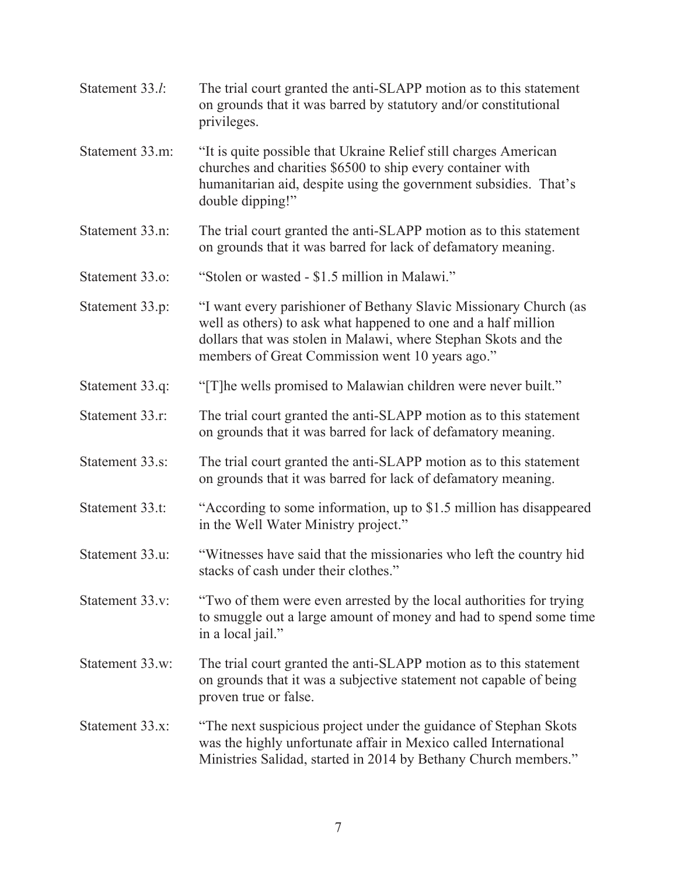| Statement 33.l: | The trial court granted the anti-SLAPP motion as to this statement<br>on grounds that it was barred by statutory and/or constitutional<br>privileges.                                                                                                    |
|-----------------|----------------------------------------------------------------------------------------------------------------------------------------------------------------------------------------------------------------------------------------------------------|
| Statement 33.m: | "It is quite possible that Ukraine Relief still charges American<br>churches and charities \$6500 to ship every container with<br>humanitarian aid, despite using the government subsidies. That's<br>double dipping!"                                   |
| Statement 33.n: | The trial court granted the anti-SLAPP motion as to this statement<br>on grounds that it was barred for lack of defamatory meaning.                                                                                                                      |
| Statement 33.o: | "Stolen or wasted - \$1.5 million in Malawi."                                                                                                                                                                                                            |
| Statement 33.p: | "I want every parishioner of Bethany Slavic Missionary Church (as<br>well as others) to ask what happened to one and a half million<br>dollars that was stolen in Malawi, where Stephan Skots and the<br>members of Great Commission went 10 years ago." |
| Statement 33.q: | "[T] he wells promised to Malawian children were never built."                                                                                                                                                                                           |
| Statement 33.r: | The trial court granted the anti-SLAPP motion as to this statement<br>on grounds that it was barred for lack of defamatory meaning.                                                                                                                      |
| Statement 33.s: | The trial court granted the anti-SLAPP motion as to this statement<br>on grounds that it was barred for lack of defamatory meaning.                                                                                                                      |
| Statement 33.t: | "According to some information, up to \$1.5 million has disappeared<br>in the Well Water Ministry project."                                                                                                                                              |
| Statement 33.u: | "Witnesses have said that the missionaries who left the country hid<br>stacks of cash under their clothes."                                                                                                                                              |
| Statement 33.v: | "Two of them were even arrested by the local authorities for trying<br>to smuggle out a large amount of money and had to spend some time<br>in a local jail."                                                                                            |
| Statement 33.w: | The trial court granted the anti-SLAPP motion as to this statement<br>on grounds that it was a subjective statement not capable of being<br>proven true or false.                                                                                        |
| Statement 33.x: | "The next suspicious project under the guidance of Stephan Skots<br>was the highly unfortunate affair in Mexico called International<br>Ministries Salidad, started in 2014 by Bethany Church members."                                                  |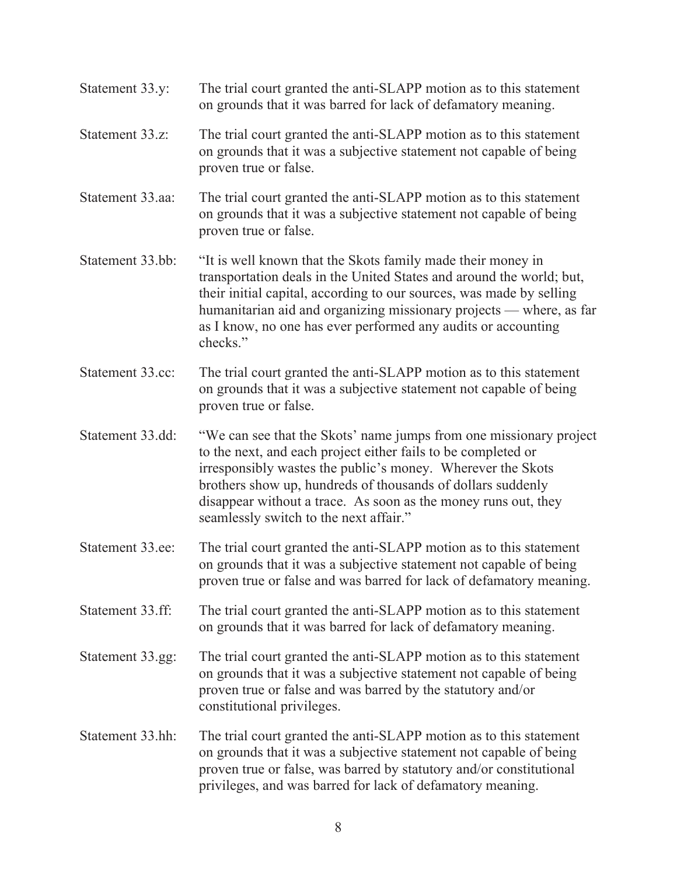Statement 33.y: The trial court granted the anti-SLAPP motion as to this statement on grounds that it was barred for lack of defamatory meaning. Statement 33.z: The trial court granted the anti-SLAPP motion as to this statement on grounds that it was a subjective statement not capable of being proven true or false. Statement 33.aa: The trial court granted the anti-SLAPP motion as to this statement on grounds that it was a subjective statement not capable of being proven true or false. Statement 33.bb: "It is well known that the Skots family made their money in transportation deals in the United States and around the world; but, their initial capital, according to our sources, was made by selling humanitarian aid and organizing missionary projects — where, as far as I know, no one has ever performed any audits or accounting checks." Statement 33.cc: The trial court granted the anti-SLAPP motion as to this statement on grounds that it was a subjective statement not capable of being proven true or false. Statement 33.dd: "We can see that the Skots' name jumps from one missionary project to the next, and each project either fails to be completed or irresponsibly wastes the public's money. Wherever the Skots brothers show up, hundreds of thousands of dollars suddenly disappear without a trace. As soon as the money runs out, they seamlessly switch to the next affair." Statement 33.ee: The trial court granted the anti-SLAPP motion as to this statement on grounds that it was a subjective statement not capable of being proven true or false and was barred for lack of defamatory meaning. Statement 33.ff: The trial court granted the anti-SLAPP motion as to this statement on grounds that it was barred for lack of defamatory meaning. Statement 33.gg: The trial court granted the anti-SLAPP motion as to this statement on grounds that it was a subjective statement not capable of being proven true or false and was barred by the statutory and/or constitutional privileges. Statement 33.hh: The trial court granted the anti-SLAPP motion as to this statement on grounds that it was a subjective statement not capable of being proven true or false, was barred by statutory and/or constitutional privileges, and was barred for lack of defamatory meaning.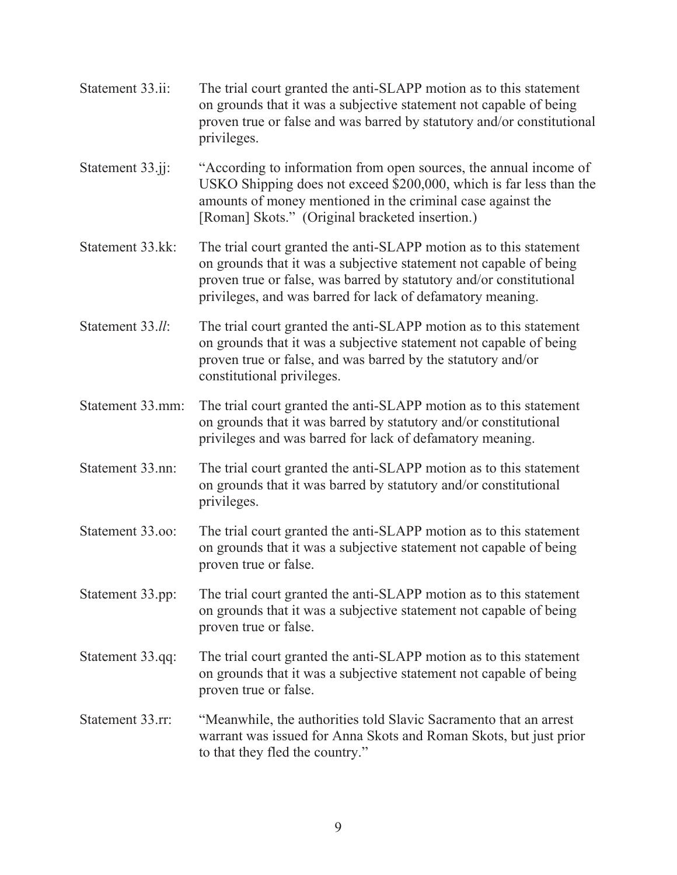- Statement 33.ii: The trial court granted the anti-SLAPP motion as to this statement on grounds that it was a subjective statement not capable of being proven true or false and was barred by statutory and/or constitutional privileges. Statement 33.j. "According to information from open sources, the annual income of USKO Shipping does not exceed \$200,000, which is far less than the amounts of money mentioned in the criminal case against the [Roman] Skots." (Original bracketed insertion.)
- Statement 33.kk: The trial court granted the anti-SLAPP motion as to this statement on grounds that it was a subjective statement not capable of being proven true or false, was barred by statutory and/or constitutional privileges, and was barred for lack of defamatory meaning.
- Statement 33.*ll*: The trial court granted the anti-SLAPP motion as to this statement on grounds that it was a subjective statement not capable of being proven true or false, and was barred by the statutory and/or constitutional privileges.
- Statement 33.mm: The trial court granted the anti-SLAPP motion as to this statement on grounds that it was barred by statutory and/or constitutional privileges and was barred for lack of defamatory meaning.
- Statement 33.nn: The trial court granted the anti-SLAPP motion as to this statement on grounds that it was barred by statutory and/or constitutional privileges.
- Statement 33.oo: The trial court granted the anti-SLAPP motion as to this statement on grounds that it was a subjective statement not capable of being proven true or false.
- Statement 33.pp: The trial court granted the anti-SLAPP motion as to this statement on grounds that it was a subjective statement not capable of being proven true or false.
- Statement 33.qq: The trial court granted the anti-SLAPP motion as to this statement on grounds that it was a subjective statement not capable of being proven true or false.
- Statement 33.rr: "Meanwhile, the authorities told Slavic Sacramento that an arrest warrant was issued for Anna Skots and Roman Skots, but just prior to that they fled the country."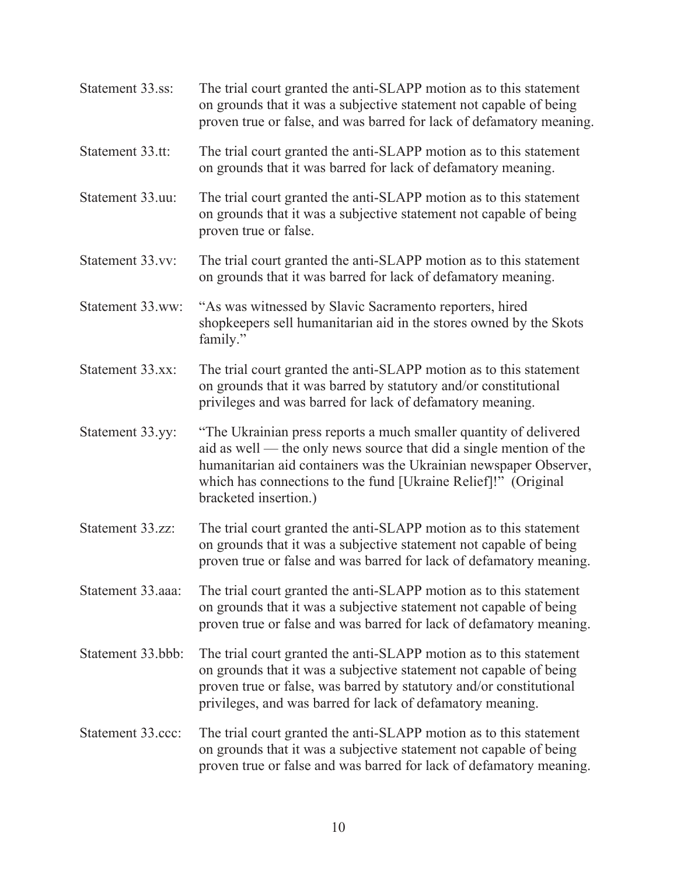| Statement 33.ss:  | The trial court granted the anti-SLAPP motion as to this statement<br>on grounds that it was a subjective statement not capable of being<br>proven true or false, and was barred for lack of defamatory meaning.                                                                                         |
|-------------------|----------------------------------------------------------------------------------------------------------------------------------------------------------------------------------------------------------------------------------------------------------------------------------------------------------|
| Statement 33.tt:  | The trial court granted the anti-SLAPP motion as to this statement<br>on grounds that it was barred for lack of defamatory meaning.                                                                                                                                                                      |
| Statement 33.uu:  | The trial court granted the anti-SLAPP motion as to this statement<br>on grounds that it was a subjective statement not capable of being<br>proven true or false.                                                                                                                                        |
| Statement 33.vv:  | The trial court granted the anti-SLAPP motion as to this statement<br>on grounds that it was barred for lack of defamatory meaning.                                                                                                                                                                      |
| Statement 33.ww:  | "As was witnessed by Slavic Sacramento reporters, hired<br>shopkeepers sell humanitarian aid in the stores owned by the Skots<br>family."                                                                                                                                                                |
| Statement 33.xx:  | The trial court granted the anti-SLAPP motion as to this statement<br>on grounds that it was barred by statutory and/or constitutional<br>privileges and was barred for lack of defamatory meaning.                                                                                                      |
| Statement 33.yy:  | "The Ukrainian press reports a much smaller quantity of delivered<br>aid as well — the only news source that did a single mention of the<br>humanitarian aid containers was the Ukrainian newspaper Observer,<br>which has connections to the fund [Ukraine Relief]!" (Original<br>bracketed insertion.) |
| Statement 33.zz:  | The trial court granted the anti-SLAPP motion as to this statement<br>on grounds that it was a subjective statement not capable of being<br>proven true or false and was barred for lack of defamatory meaning.                                                                                          |
| Statement 33.aaa: | The trial court granted the anti-SLAPP motion as to this statement<br>on grounds that it was a subjective statement not capable of being<br>proven true or false and was barred for lack of defamatory meaning.                                                                                          |
| Statement 33.bbb: | The trial court granted the anti-SLAPP motion as to this statement<br>on grounds that it was a subjective statement not capable of being<br>proven true or false, was barred by statutory and/or constitutional<br>privileges, and was barred for lack of defamatory meaning.                            |
| Statement 33.ccc: | The trial court granted the anti-SLAPP motion as to this statement<br>on grounds that it was a subjective statement not capable of being<br>proven true or false and was barred for lack of defamatory meaning.                                                                                          |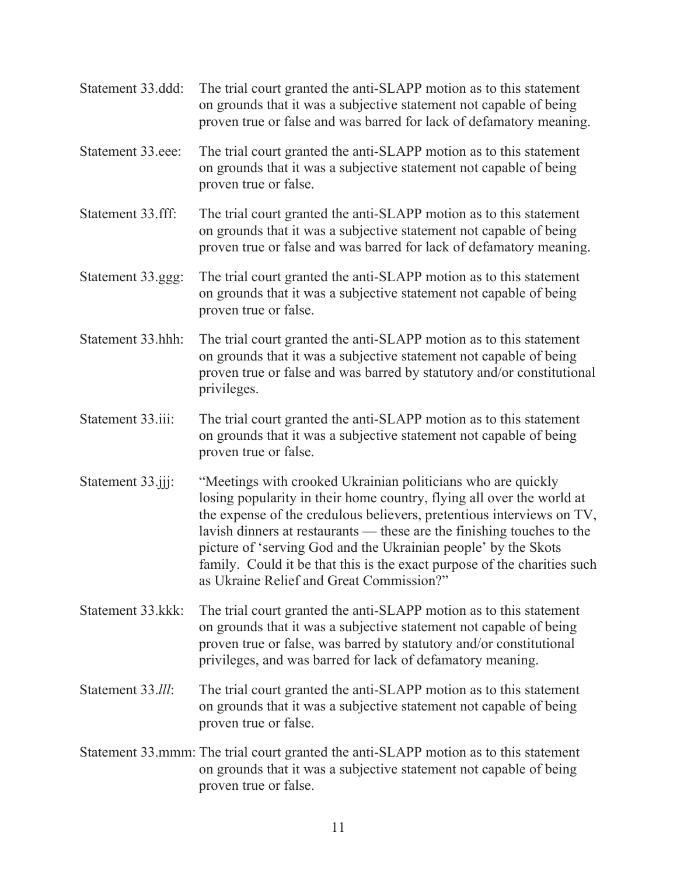- Statement 33.ddd: The trial court granted the anti-SLAPP motion as to this statement on grounds that it was a subjective statement not capable of being proven true or false and was barred for lack of defamatory meaning. Statement 33.eee: The trial court granted the anti-SLAPP motion as to this statement on grounds that it was a subjective statement not capable of being proven true or false.
- Statement 33.fff: The trial court granted the anti-SLAPP motion as to this statement on grounds that it was a subjective statement not capable of being proven true or false and was barred for lack of defamatory meaning.
- Statement 33.ggg: The trial court granted the anti-SLAPP motion as to this statement on grounds that it was a subjective statement not capable of being proven true or false.
- Statement 33.hhh: The trial court granted the anti-SLAPP motion as to this statement on grounds that it was a subjective statement not capable of being proven true or false and was barred by statutory and/or constitutional privileges.
- Statement 33.iii: The trial court granted the anti-SLAPP motion as to this statement on grounds that it was a subjective statement not capable of being proven true or false.
- Statement 33.jjj: "Meetings with crooked Ukrainian politicians who are quickly losing popularity in their home country, flying all over the world at the expense of the credulous believers, pretentious interviews on TV, lavish dinners at restaurants — these are the finishing touches to the picture of 'serving God and the Ukrainian people' by the Skots family. Could it be that this is the exact purpose of the charities such as Ukraine Relief and Great Commission?"
- Statement 33.kkk: The trial court granted the anti-SLAPP motion as to this statement on grounds that it was a subjective statement not capable of being proven true or false, was barred by statutory and/or constitutional privileges, and was barred for lack of defamatory meaning.
- Statement 33.*lll*: The trial court granted the anti-SLAPP motion as to this statement on grounds that it was a subjective statement not capable of being proven true or false.
- Statement 33.mmm: The trial court granted the anti-SLAPP motion as to this statement on grounds that it was a subjective statement not capable of being proven true or false.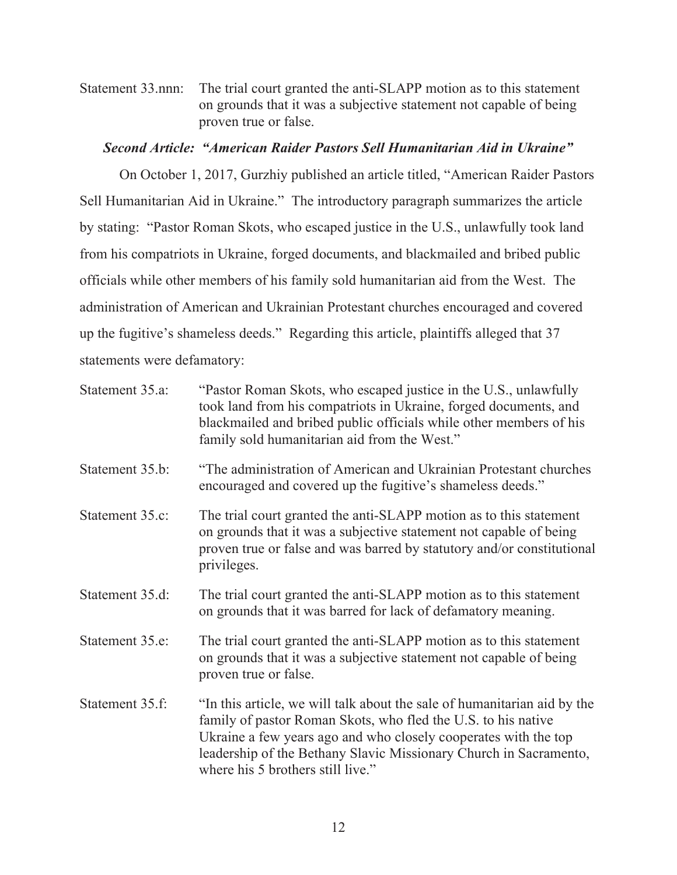Statement 33.nnn: The trial court granted the anti-SLAPP motion as to this statement on grounds that it was a subjective statement not capable of being proven true or false.

#### *Second Article: "American Raider Pastors Sell Humanitarian Aid in Ukraine"*

On October 1, 2017, Gurzhiy published an article titled, "American Raider Pastors Sell Humanitarian Aid in Ukraine." The introductory paragraph summarizes the article by stating: "Pastor Roman Skots, who escaped justice in the U.S., unlawfully took land from his compatriots in Ukraine, forged documents, and blackmailed and bribed public officials while other members of his family sold humanitarian aid from the West. The administration of American and Ukrainian Protestant churches encouraged and covered up the fugitive's shameless deeds." Regarding this article, plaintiffs alleged that 37 statements were defamatory:

| Statement 35.a: | "Pastor Roman Skots, who escaped justice in the U.S., unlawfully<br>took land from his compatriots in Ukraine, forged documents, and<br>blackmailed and bribed public officials while other members of his<br>family sold humanitarian aid from the West."                                                             |
|-----------------|------------------------------------------------------------------------------------------------------------------------------------------------------------------------------------------------------------------------------------------------------------------------------------------------------------------------|
| Statement 35.b: | "The administration of American and Ukrainian Protestant churches<br>encouraged and covered up the fugitive's shameless deeds."                                                                                                                                                                                        |
| Statement 35.c: | The trial court granted the anti-SLAPP motion as to this statement<br>on grounds that it was a subjective statement not capable of being<br>proven true or false and was barred by statutory and/or constitutional<br>privileges.                                                                                      |
| Statement 35.d: | The trial court granted the anti-SLAPP motion as to this statement<br>on grounds that it was barred for lack of defamatory meaning.                                                                                                                                                                                    |
| Statement 35.e: | The trial court granted the anti-SLAPP motion as to this statement<br>on grounds that it was a subjective statement not capable of being<br>proven true or false.                                                                                                                                                      |
| Statement 35.f: | "In this article, we will talk about the sale of humanitarian aid by the<br>family of pastor Roman Skots, who fled the U.S. to his native<br>Ukraine a few years ago and who closely cooperates with the top<br>leadership of the Bethany Slavic Missionary Church in Sacramento,<br>where his 5 brothers still live." |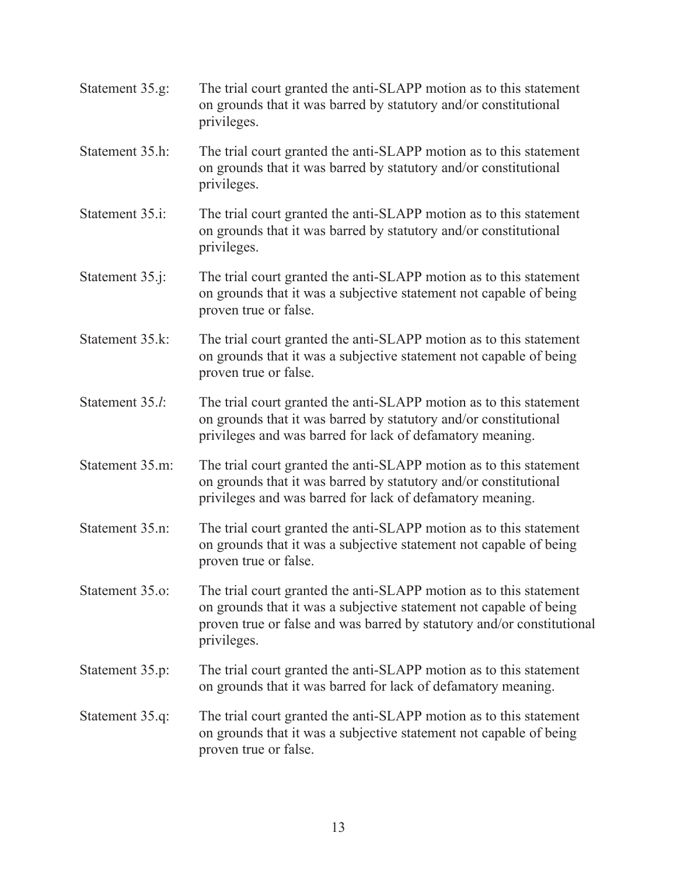| Statement 35.g: | The trial court granted the anti-SLAPP motion as to this statement<br>on grounds that it was barred by statutory and/or constitutional<br>privileges.                                                                             |
|-----------------|-----------------------------------------------------------------------------------------------------------------------------------------------------------------------------------------------------------------------------------|
| Statement 35.h: | The trial court granted the anti-SLAPP motion as to this statement<br>on grounds that it was barred by statutory and/or constitutional<br>privileges.                                                                             |
| Statement 35.i: | The trial court granted the anti-SLAPP motion as to this statement<br>on grounds that it was barred by statutory and/or constitutional<br>privileges.                                                                             |
| Statement 35.j: | The trial court granted the anti-SLAPP motion as to this statement<br>on grounds that it was a subjective statement not capable of being<br>proven true or false.                                                                 |
| Statement 35.k: | The trial court granted the anti-SLAPP motion as to this statement<br>on grounds that it was a subjective statement not capable of being<br>proven true or false.                                                                 |
| Statement 35.l: | The trial court granted the anti-SLAPP motion as to this statement<br>on grounds that it was barred by statutory and/or constitutional<br>privileges and was barred for lack of defamatory meaning.                               |
| Statement 35.m: | The trial court granted the anti-SLAPP motion as to this statement<br>on grounds that it was barred by statutory and/or constitutional<br>privileges and was barred for lack of defamatory meaning.                               |
| Statement 35.n: | The trial court granted the anti-SLAPP motion as to this statement<br>on grounds that it was a subjective statement not capable of being<br>proven true or false.                                                                 |
| Statement 35.o: | The trial court granted the anti-SLAPP motion as to this statement<br>on grounds that it was a subjective statement not capable of being<br>proven true or false and was barred by statutory and/or constitutional<br>privileges. |
| Statement 35.p: | The trial court granted the anti-SLAPP motion as to this statement<br>on grounds that it was barred for lack of defamatory meaning.                                                                                               |
| Statement 35.q: | The trial court granted the anti-SLAPP motion as to this statement<br>on grounds that it was a subjective statement not capable of being<br>proven true or false.                                                                 |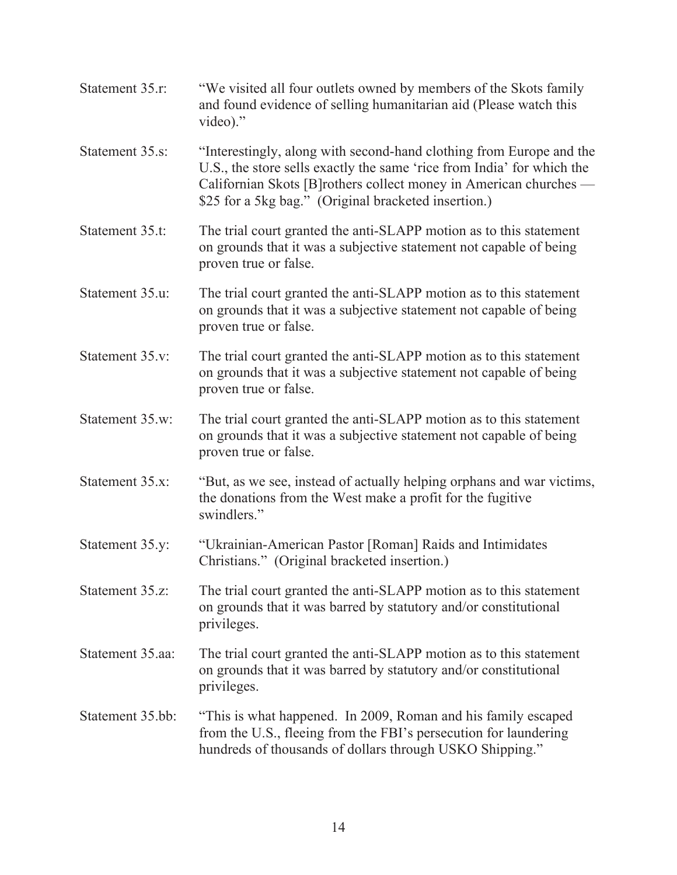| Statement 35.r:  | "We visited all four outlets owned by members of the Skots family<br>and found evidence of selling humanitarian aid (Please watch this<br>video)."                                                                                                                         |
|------------------|----------------------------------------------------------------------------------------------------------------------------------------------------------------------------------------------------------------------------------------------------------------------------|
| Statement 35.s:  | "Interestingly, along with second-hand clothing from Europe and the<br>U.S., the store sells exactly the same 'rice from India' for which the<br>Californian Skots [B]rothers collect money in American churches -<br>\$25 for a 5kg bag." (Original bracketed insertion.) |
| Statement 35.t:  | The trial court granted the anti-SLAPP motion as to this statement<br>on grounds that it was a subjective statement not capable of being<br>proven true or false.                                                                                                          |
| Statement 35.u:  | The trial court granted the anti-SLAPP motion as to this statement<br>on grounds that it was a subjective statement not capable of being<br>proven true or false.                                                                                                          |
| Statement 35.v:  | The trial court granted the anti-SLAPP motion as to this statement<br>on grounds that it was a subjective statement not capable of being<br>proven true or false.                                                                                                          |
| Statement 35.w:  | The trial court granted the anti-SLAPP motion as to this statement<br>on grounds that it was a subjective statement not capable of being<br>proven true or false.                                                                                                          |
| Statement 35.x:  | "But, as we see, instead of actually helping orphans and war victims,<br>the donations from the West make a profit for the fugitive<br>swindlers."                                                                                                                         |
| Statement 35.y:  | "Ukrainian-American Pastor [Roman] Raids and Intimidates<br>Christians." (Original bracketed insertion.)                                                                                                                                                                   |
| Statement 35.z:  | The trial court granted the anti-SLAPP motion as to this statement<br>on grounds that it was barred by statutory and/or constitutional<br>privileges.                                                                                                                      |
| Statement 35.aa: | The trial court granted the anti-SLAPP motion as to this statement<br>on grounds that it was barred by statutory and/or constitutional<br>privileges.                                                                                                                      |
| Statement 35.bb: | "This is what happened. In 2009, Roman and his family escaped<br>from the U.S., fleeing from the FBI's persecution for laundering<br>hundreds of thousands of dollars through USKO Shipping."                                                                              |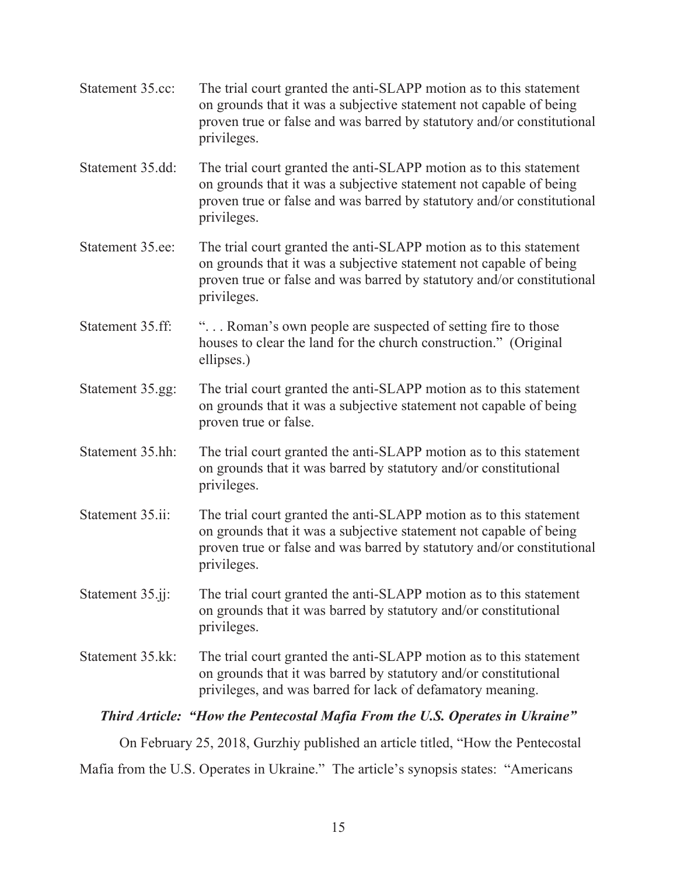- Statement 35.cc: The trial court granted the anti-SLAPP motion as to this statement on grounds that it was a subjective statement not capable of being proven true or false and was barred by statutory and/or constitutional privileges.
- Statement 35.dd: The trial court granted the anti-SLAPP motion as to this statement on grounds that it was a subjective statement not capable of being proven true or false and was barred by statutory and/or constitutional privileges.
- Statement 35.ee: The trial court granted the anti-SLAPP motion as to this statement on grounds that it was a subjective statement not capable of being proven true or false and was barred by statutory and/or constitutional privileges.
- Statement 35.ff: "... Roman's own people are suspected of setting fire to those houses to clear the land for the church construction." (Original ellipses.)
- Statement 35.gg: The trial court granted the anti-SLAPP motion as to this statement on grounds that it was a subjective statement not capable of being proven true or false.
- Statement 35.hh: The trial court granted the anti-SLAPP motion as to this statement on grounds that it was barred by statutory and/or constitutional privileges.
- Statement 35.ii: The trial court granted the anti-SLAPP motion as to this statement on grounds that it was a subjective statement not capable of being proven true or false and was barred by statutory and/or constitutional privileges.
- Statement 35.jj: The trial court granted the anti-SLAPP motion as to this statement on grounds that it was barred by statutory and/or constitutional privileges.
- Statement 35.kk: The trial court granted the anti-SLAPP motion as to this statement on grounds that it was barred by statutory and/or constitutional privileges, and was barred for lack of defamatory meaning.

## *Third Article: "How the Pentecostal Mafia From the U.S. Operates in Ukraine"*

On February 25, 2018, Gurzhiy published an article titled, "How the Pentecostal

Mafia from the U.S. Operates in Ukraine." The article's synopsis states: "Americans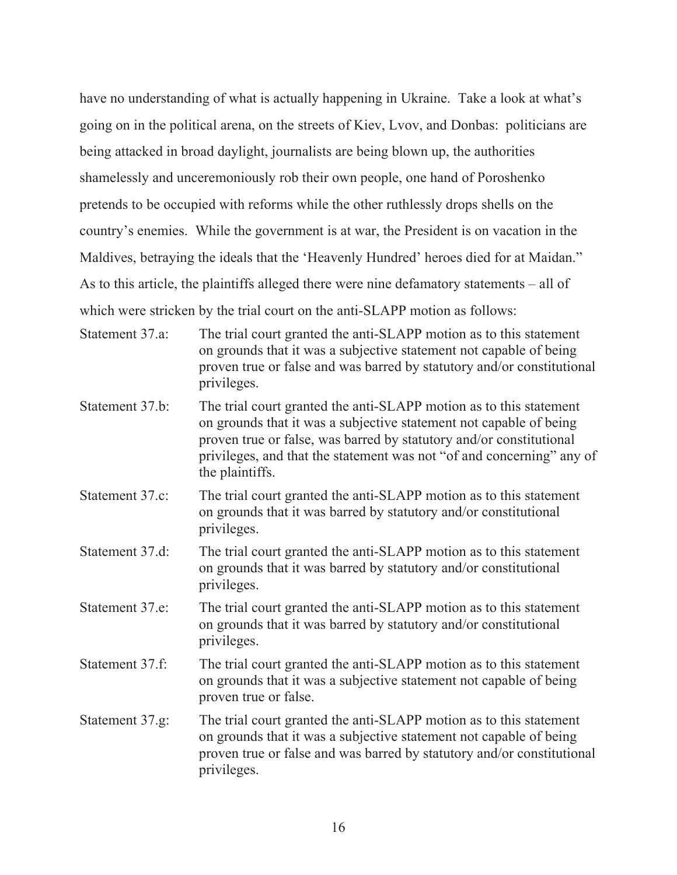have no understanding of what is actually happening in Ukraine. Take a look at what's going on in the political arena, on the streets of Kiev, Lvov, and Donbas: politicians are being attacked in broad daylight, journalists are being blown up, the authorities shamelessly and unceremoniously rob their own people, one hand of Poroshenko pretends to be occupied with reforms while the other ruthlessly drops shells on the country's enemies. While the government is at war, the President is on vacation in the Maldives, betraying the ideals that the 'Heavenly Hundred' heroes died for at Maidan." As to this article, the plaintiffs alleged there were nine defamatory statements – all of which were stricken by the trial court on the anti-SLAPP motion as follows:

- Statement 37.a: The trial court granted the anti-SLAPP motion as to this statement on grounds that it was a subjective statement not capable of being proven true or false and was barred by statutory and/or constitutional privileges.
- Statement 37.b: The trial court granted the anti-SLAPP motion as to this statement on grounds that it was a subjective statement not capable of being proven true or false, was barred by statutory and/or constitutional privileges, and that the statement was not "of and concerning" any of the plaintiffs.
- Statement 37.c: The trial court granted the anti-SLAPP motion as to this statement on grounds that it was barred by statutory and/or constitutional privileges.
- Statement 37.d: The trial court granted the anti-SLAPP motion as to this statement on grounds that it was barred by statutory and/or constitutional privileges.
- Statement 37.e: The trial court granted the anti-SLAPP motion as to this statement on grounds that it was barred by statutory and/or constitutional privileges.
- Statement 37.f: The trial court granted the anti-SLAPP motion as to this statement on grounds that it was a subjective statement not capable of being proven true or false.
- Statement 37.g: The trial court granted the anti-SLAPP motion as to this statement on grounds that it was a subjective statement not capable of being proven true or false and was barred by statutory and/or constitutional privileges.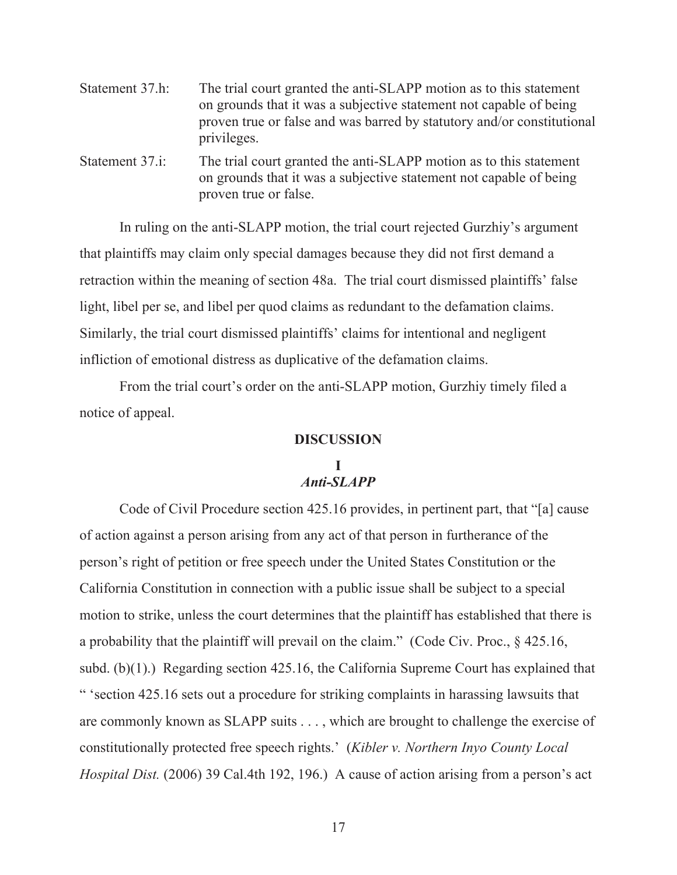| Statement 37.h: | The trial court granted the anti-SLAPP motion as to this statement     |
|-----------------|------------------------------------------------------------------------|
|                 | on grounds that it was a subjective statement not capable of being     |
|                 | proven true or false and was barred by statutory and/or constitutional |
|                 | privileges.                                                            |

Statement 37.i: The trial court granted the anti-SLAPP motion as to this statement on grounds that it was a subjective statement not capable of being proven true or false.

 In ruling on the anti-SLAPP motion, the trial court rejected Gurzhiy's argument that plaintiffs may claim only special damages because they did not first demand a retraction within the meaning of section 48a. The trial court dismissed plaintiffs' false light, libel per se, and libel per quod claims as redundant to the defamation claims. Similarly, the trial court dismissed plaintiffs' claims for intentional and negligent infliction of emotional distress as duplicative of the defamation claims.

From the trial court's order on the anti-SLAPP motion, Gurzhiy timely filed a notice of appeal.

#### **DISCUSSION**

## **I**  *Anti-SLAPP*

Code of Civil Procedure section 425.16 provides, in pertinent part, that "[a] cause of action against a person arising from any act of that person in furtherance of the person's right of petition or free speech under the United States Constitution or the California Constitution in connection with a public issue shall be subject to a special motion to strike, unless the court determines that the plaintiff has established that there is a probability that the plaintiff will prevail on the claim." (Code Civ. Proc., § 425.16, subd. (b)(1).) Regarding section 425.16, the California Supreme Court has explained that " 'section 425.16 sets out a procedure for striking complaints in harassing lawsuits that are commonly known as SLAPP suits . . . , which are brought to challenge the exercise of constitutionally protected free speech rights.' (*Kibler v. Northern Inyo County Local Hospital Dist.* (2006) 39 Cal.4th 192, 196.) A cause of action arising from a person's act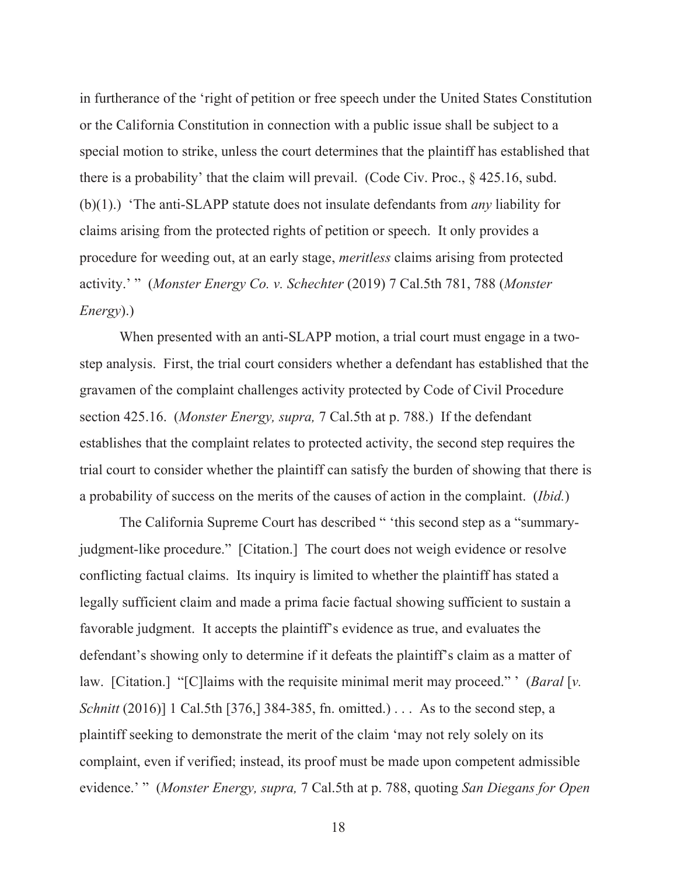in furtherance of the 'right of petition or free speech under the United States Constitution or the California Constitution in connection with a public issue shall be subject to a special motion to strike, unless the court determines that the plaintiff has established that there is a probability' that the claim will prevail. (Code Civ. Proc., § 425.16, subd. (b)(1).) 'The anti-SLAPP statute does not insulate defendants from *any* liability for claims arising from the protected rights of petition or speech. It only provides a procedure for weeding out, at an early stage, *meritless* claims arising from protected activity.' " (*Monster Energy Co. v. Schechter* (2019) 7 Cal.5th 781, 788 (*Monster Energy*).)

When presented with an anti-SLAPP motion, a trial court must engage in a twostep analysis. First, the trial court considers whether a defendant has established that the gravamen of the complaint challenges activity protected by Code of Civil Procedure section 425.16. (*Monster Energy, supra,* 7 Cal.5th at p. 788.) If the defendant establishes that the complaint relates to protected activity, the second step requires the trial court to consider whether the plaintiff can satisfy the burden of showing that there is a probability of success on the merits of the causes of action in the complaint. (*Ibid.*)

The California Supreme Court has described " 'this second step as a "summaryjudgment-like procedure." [Citation.] The court does not weigh evidence or resolve conflicting factual claims. Its inquiry is limited to whether the plaintiff has stated a legally sufficient claim and made a prima facie factual showing sufficient to sustain a favorable judgment. It accepts the plaintiff's evidence as true, and evaluates the defendant's showing only to determine if it defeats the plaintiff's claim as a matter of law. [Citation.] "[C]laims with the requisite minimal merit may proceed." ' (*Baral* [*v. Schnitt* (2016)] 1 Cal.5th [376,] 384-385, fn. omitted.) . . . As to the second step, a plaintiff seeking to demonstrate the merit of the claim 'may not rely solely on its complaint, even if verified; instead, its proof must be made upon competent admissible evidence.' " (*Monster Energy, supra,* 7 Cal.5th at p. 788, quoting *San Diegans for Open*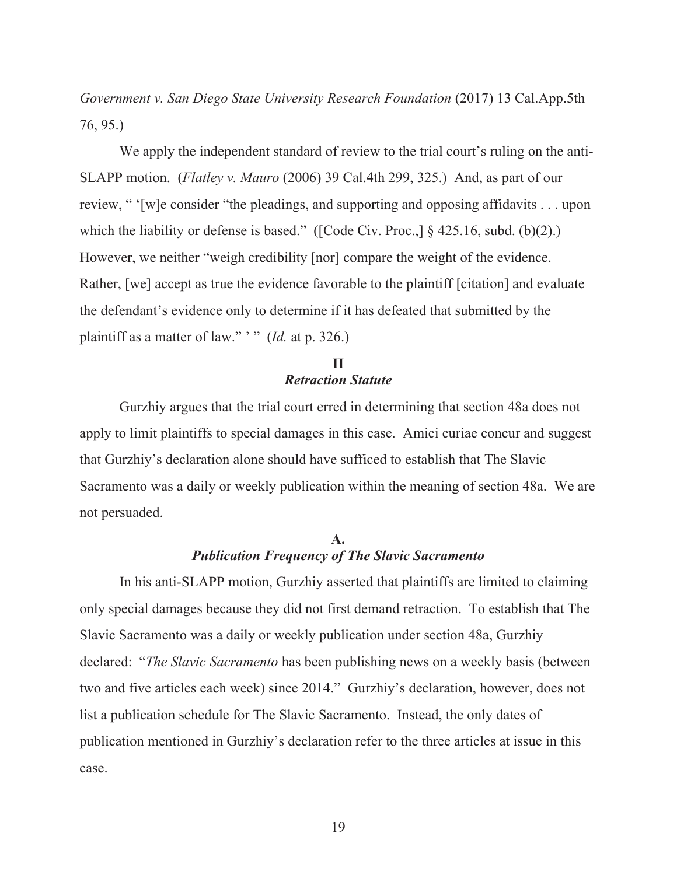*Government v. San Diego State University Research Foundation* (2017) 13 Cal.App.5th 76, 95.)

We apply the independent standard of review to the trial court's ruling on the anti-SLAPP motion. (*Flatley v. Mauro* (2006) 39 Cal.4th 299, 325.) And, as part of our review, " '[w]e consider "the pleadings, and supporting and opposing affidavits . . . upon which the liability or defense is based." ([Code Civ. Proc.,] § 425.16, subd. (b)(2).) However, we neither "weigh credibility [nor] compare the weight of the evidence. Rather, [we] accept as true the evidence favorable to the plaintiff [citation] and evaluate the defendant's evidence only to determine if it has defeated that submitted by the plaintiff as a matter of law." ' " (*Id.* at p. 326.)

## **II**  *Retraction Statute*

Gurzhiy argues that the trial court erred in determining that section 48a does not apply to limit plaintiffs to special damages in this case. Amici curiae concur and suggest that Gurzhiy's declaration alone should have sufficed to establish that The Slavic Sacramento was a daily or weekly publication within the meaning of section 48a. We are not persuaded.

#### **A.**  *Publication Frequency of The Slavic Sacramento*

In his anti-SLAPP motion, Gurzhiy asserted that plaintiffs are limited to claiming only special damages because they did not first demand retraction. To establish that The Slavic Sacramento was a daily or weekly publication under section 48a, Gurzhiy declared: "*The Slavic Sacramento* has been publishing news on a weekly basis (between two and five articles each week) since 2014." Gurzhiy's declaration, however, does not list a publication schedule for The Slavic Sacramento. Instead, the only dates of publication mentioned in Gurzhiy's declaration refer to the three articles at issue in this case.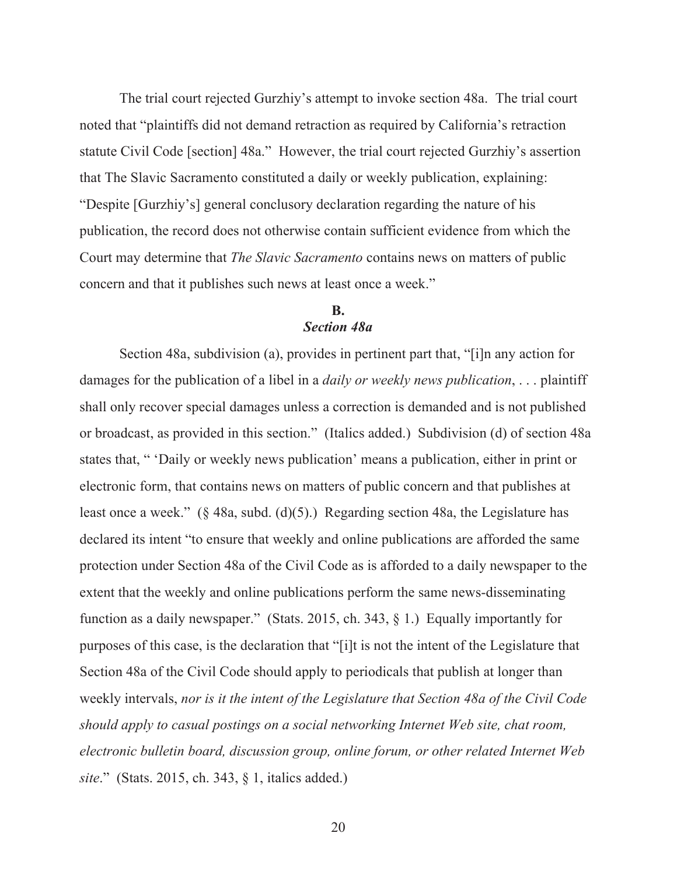The trial court rejected Gurzhiy's attempt to invoke section 48a. The trial court noted that "plaintiffs did not demand retraction as required by California's retraction statute Civil Code [section] 48a." However, the trial court rejected Gurzhiy's assertion that The Slavic Sacramento constituted a daily or weekly publication, explaining: "Despite [Gurzhiy's] general conclusory declaration regarding the nature of his publication, the record does not otherwise contain sufficient evidence from which the Court may determine that *The Slavic Sacramento* contains news on matters of public concern and that it publishes such news at least once a week."

## **B.**  *Section 48a*

Section 48a, subdivision (a), provides in pertinent part that, "[i]n any action for damages for the publication of a libel in a *daily or weekly news publication*, . . . plaintiff shall only recover special damages unless a correction is demanded and is not published or broadcast, as provided in this section." (Italics added.) Subdivision (d) of section 48a states that, " 'Daily or weekly news publication' means a publication, either in print or electronic form, that contains news on matters of public concern and that publishes at least once a week." (§ 48a, subd. (d)(5).) Regarding section 48a, the Legislature has declared its intent "to ensure that weekly and online publications are afforded the same protection under Section 48a of the Civil Code as is afforded to a daily newspaper to the extent that the weekly and online publications perform the same news-disseminating function as a daily newspaper." (Stats. 2015, ch. 343, § 1.) Equally importantly for purposes of this case, is the declaration that "[i]t is not the intent of the Legislature that Section 48a of the Civil Code should apply to periodicals that publish at longer than weekly intervals, *nor is it the intent of the Legislature that Section 48a of the Civil Code should apply to casual postings on a social networking Internet Web site, chat room, electronic bulletin board, discussion group, online forum, or other related Internet Web site*." (Stats. 2015, ch. 343, § 1, italics added.)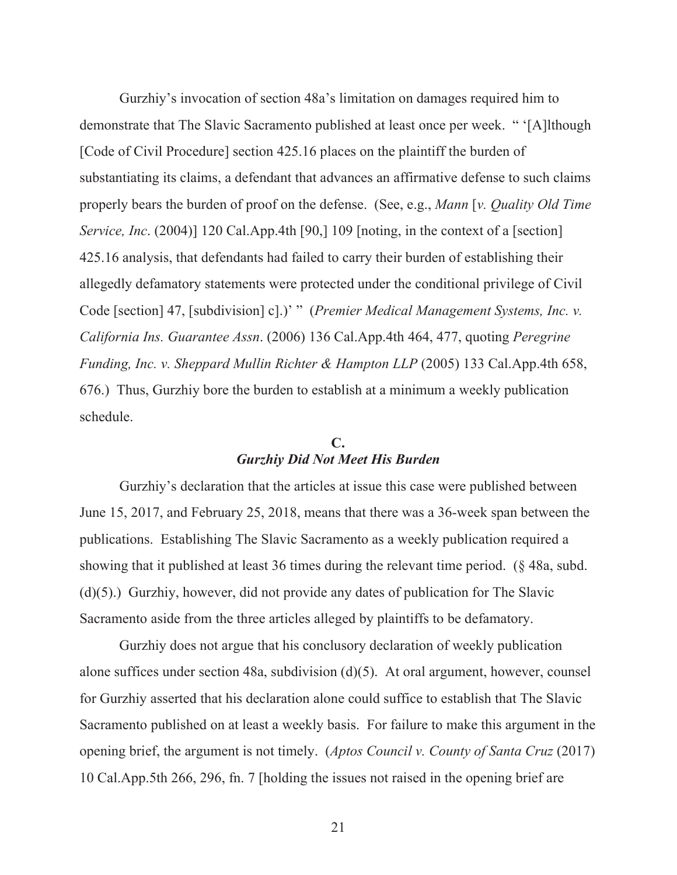Gurzhiy's invocation of section 48a's limitation on damages required him to demonstrate that The Slavic Sacramento published at least once per week. " '[A]lthough [Code of Civil Procedure] section 425.16 places on the plaintiff the burden of substantiating its claims, a defendant that advances an affirmative defense to such claims properly bears the burden of proof on the defense. (See, e.g., *Mann* [*v. Quality Old Time Service, Inc.* (2004)] 120 Cal.App.4th [90,] 109 [noting, in the context of a [section] 425.16 analysis, that defendants had failed to carry their burden of establishing their allegedly defamatory statements were protected under the conditional privilege of Civil Code [section] 47, [subdivision] c].)' " (*Premier Medical Management Systems, Inc. v. California Ins. Guarantee Assn*. (2006) 136 Cal.App.4th 464, 477, quoting *Peregrine Funding, Inc. v. Sheppard Mullin Richter & Hampton LLP* (2005) 133 Cal.App.4th 658, 676.) Thus, Gurzhiy bore the burden to establish at a minimum a weekly publication schedule.

#### **C.**  *Gurzhiy Did Not Meet His Burden*

Gurzhiy's declaration that the articles at issue this case were published between June 15, 2017, and February 25, 2018, means that there was a 36-week span between the publications. Establishing The Slavic Sacramento as a weekly publication required a showing that it published at least 36 times during the relevant time period. (§ 48a, subd. (d)(5).) Gurzhiy, however, did not provide any dates of publication for The Slavic Sacramento aside from the three articles alleged by plaintiffs to be defamatory.

Gurzhiy does not argue that his conclusory declaration of weekly publication alone suffices under section 48a, subdivision (d)(5). At oral argument, however, counsel for Gurzhiy asserted that his declaration alone could suffice to establish that The Slavic Sacramento published on at least a weekly basis. For failure to make this argument in the opening brief, the argument is not timely. (*Aptos Council v. County of Santa Cruz* (2017) 10 Cal.App.5th 266, 296, fn. 7 [holding the issues not raised in the opening brief are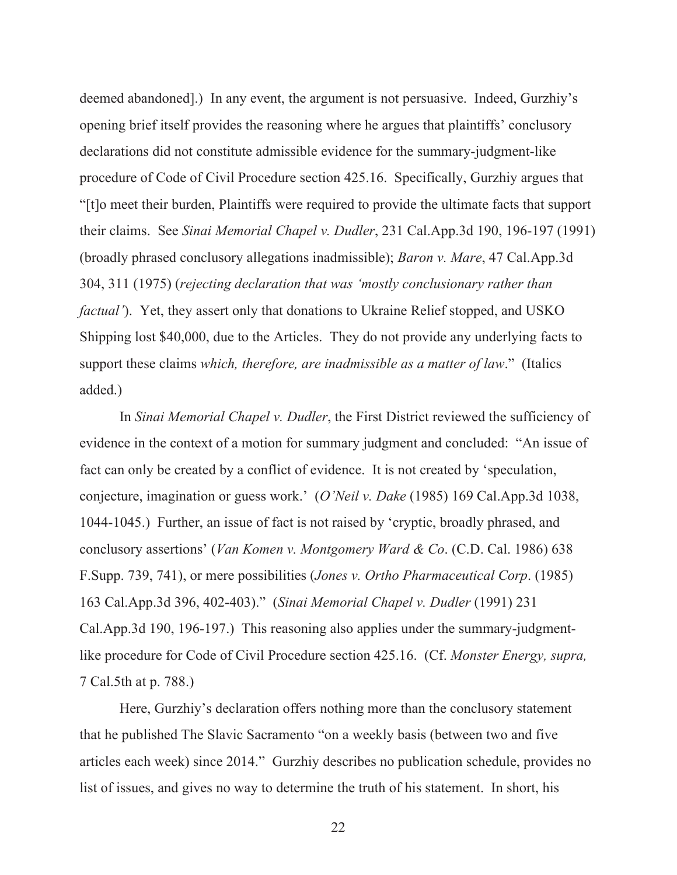deemed abandoned].) In any event, the argument is not persuasive. Indeed, Gurzhiy's opening brief itself provides the reasoning where he argues that plaintiffs' conclusory declarations did not constitute admissible evidence for the summary-judgment-like procedure of Code of Civil Procedure section 425.16. Specifically, Gurzhiy argues that "[t]o meet their burden, Plaintiffs were required to provide the ultimate facts that support their claims. See *Sinai Memorial Chapel v. Dudler*, 231 Cal.App.3d 190, 196-197 (1991) (broadly phrased conclusory allegations inadmissible); *Baron v. Mare*, 47 Cal.App.3d 304, 311 (1975) (*rejecting declaration that was 'mostly conclusionary rather than factual'*). Yet, they assert only that donations to Ukraine Relief stopped, and USKO Shipping lost \$40,000, due to the Articles. They do not provide any underlying facts to support these claims *which, therefore, are inadmissible as a matter of law*." (Italics added.)

In *Sinai Memorial Chapel v. Dudler*, the First District reviewed the sufficiency of evidence in the context of a motion for summary judgment and concluded: "An issue of fact can only be created by a conflict of evidence. It is not created by 'speculation, conjecture, imagination or guess work.' (*O'Neil v. Dake* (1985) 169 Cal.App.3d 1038, 1044-1045.) Further, an issue of fact is not raised by 'cryptic, broadly phrased, and conclusory assertions' (*Van Komen v. Montgomery Ward & Co*. (C.D. Cal. 1986) 638 F.Supp. 739, 741), or mere possibilities (*Jones v. Ortho Pharmaceutical Corp*. (1985) 163 Cal.App.3d 396, 402-403)." (*Sinai Memorial Chapel v. Dudler* (1991) 231 Cal.App.3d 190, 196-197.) This reasoning also applies under the summary-judgmentlike procedure for Code of Civil Procedure section 425.16. (Cf. *Monster Energy, supra,*  7 Cal.5th at p. 788.)

Here, Gurzhiy's declaration offers nothing more than the conclusory statement that he published The Slavic Sacramento "on a weekly basis (between two and five articles each week) since 2014." Gurzhiy describes no publication schedule, provides no list of issues, and gives no way to determine the truth of his statement. In short, his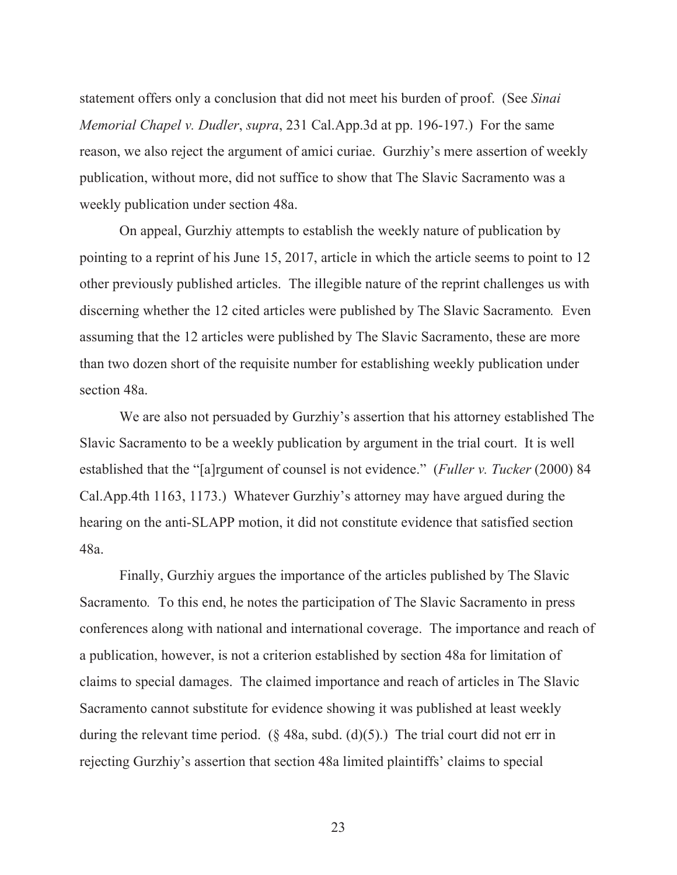statement offers only a conclusion that did not meet his burden of proof. (See *Sinai Memorial Chapel v. Dudler*, *supra*, 231 Cal.App.3d at pp. 196-197.) For the same reason, we also reject the argument of amici curiae. Gurzhiy's mere assertion of weekly publication, without more, did not suffice to show that The Slavic Sacramento was a weekly publication under section 48a.

On appeal, Gurzhiy attempts to establish the weekly nature of publication by pointing to a reprint of his June 15, 2017, article in which the article seems to point to 12 other previously published articles. The illegible nature of the reprint challenges us with discerning whether the 12 cited articles were published by The Slavic Sacramento*.* Even assuming that the 12 articles were published by The Slavic Sacramento, these are more than two dozen short of the requisite number for establishing weekly publication under section 48a.

We are also not persuaded by Gurzhiy's assertion that his attorney established The Slavic Sacramento to be a weekly publication by argument in the trial court. It is well established that the "[a]rgument of counsel is not evidence." (*Fuller v. Tucker* (2000) 84 Cal.App.4th 1163, 1173.) Whatever Gurzhiy's attorney may have argued during the hearing on the anti-SLAPP motion, it did not constitute evidence that satisfied section 48a.

Finally, Gurzhiy argues the importance of the articles published by The Slavic Sacramento*.* To this end, he notes the participation of The Slavic Sacramento in press conferences along with national and international coverage. The importance and reach of a publication, however, is not a criterion established by section 48a for limitation of claims to special damages. The claimed importance and reach of articles in The Slavic Sacramento cannot substitute for evidence showing it was published at least weekly during the relevant time period.  $(\S$  48a, subd. (d)(5).) The trial court did not err in rejecting Gurzhiy's assertion that section 48a limited plaintiffs' claims to special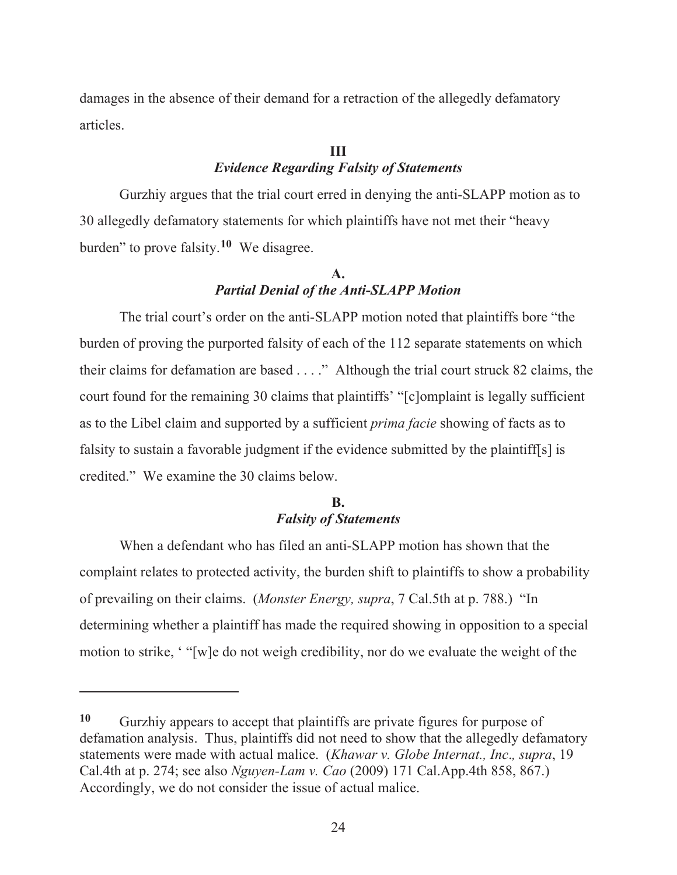damages in the absence of their demand for a retraction of the allegedly defamatory articles.

### **III**  *Evidence Regarding Falsity of Statements*

Gurzhiy argues that the trial court erred in denying the anti-SLAPP motion as to 30 allegedly defamatory statements for which plaintiffs have not met their "heavy burden" to prove falsity.**10** We disagree.

## **A.**  *Partial Denial of the Anti-SLAPP Motion*

The trial court's order on the anti-SLAPP motion noted that plaintiffs bore "the burden of proving the purported falsity of each of the 112 separate statements on which their claims for defamation are based . . . ." Although the trial court struck 82 claims, the court found for the remaining 30 claims that plaintiffs' "[c]omplaint is legally sufficient as to the Libel claim and supported by a sufficient *prima facie* showing of facts as to falsity to sustain a favorable judgment if the evidence submitted by the plaintiff[s] is credited." We examine the 30 claims below.

## **B.**  *Falsity of Statements*

When a defendant who has filed an anti-SLAPP motion has shown that the complaint relates to protected activity, the burden shift to plaintiffs to show a probability of prevailing on their claims. (*Monster Energy, supra*, 7 Cal.5th at p. 788.) "In determining whether a plaintiff has made the required showing in opposition to a special motion to strike, ' "[w]e do not weigh credibility, nor do we evaluate the weight of the

**<sup>10</sup>** Gurzhiy appears to accept that plaintiffs are private figures for purpose of defamation analysis. Thus, plaintiffs did not need to show that the allegedly defamatory statements were made with actual malice. (*Khawar v. Globe Internat., Inc*.*, supra*, 19 Cal.4th at p. 274; see also *Nguyen-Lam v. Cao* (2009) 171 Cal.App.4th 858, 867.) Accordingly, we do not consider the issue of actual malice.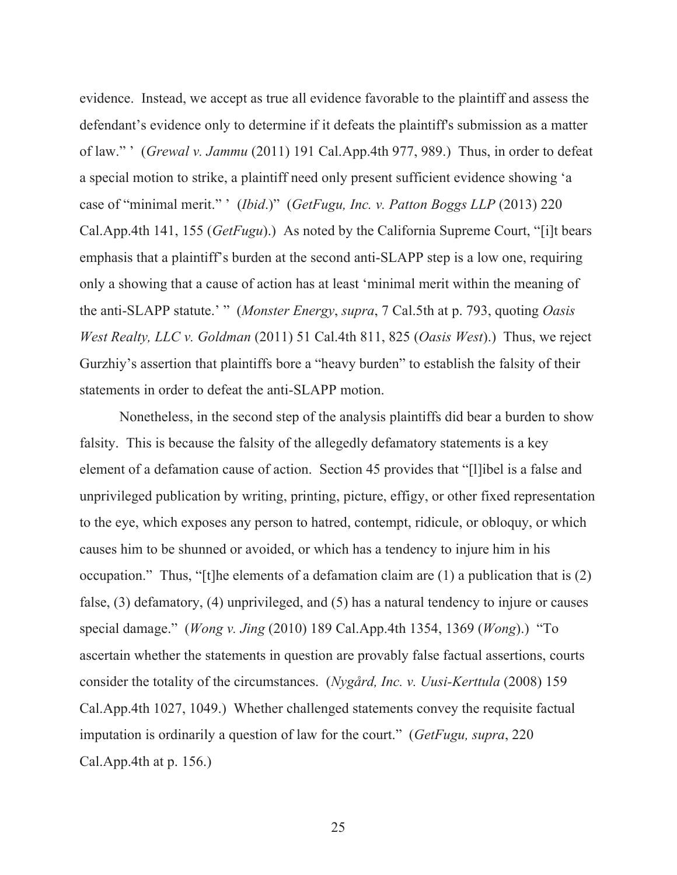evidence. Instead, we accept as true all evidence favorable to the plaintiff and assess the defendant's evidence only to determine if it defeats the plaintiff's submission as a matter of law." ' (*Grewal v. Jammu* (2011) 191 Cal.App.4th 977, 989.) Thus, in order to defeat a special motion to strike, a plaintiff need only present sufficient evidence showing 'a case of "minimal merit." ' (*Ibid*.)" (*GetFugu, Inc. v. Patton Boggs LLP* (2013) 220 Cal.App.4th 141, 155 (*GetFugu*).) As noted by the California Supreme Court, "[i]t bears emphasis that a plaintiff's burden at the second anti-SLAPP step is a low one, requiring only a showing that a cause of action has at least 'minimal merit within the meaning of the anti-SLAPP statute.' " (*Monster Energy*, *supra*, 7 Cal.5th at p. 793, quoting *Oasis West Realty, LLC v. Goldman* (2011) 51 Cal.4th 811, 825 (*Oasis West*).) Thus, we reject Gurzhiy's assertion that plaintiffs bore a "heavy burden" to establish the falsity of their statements in order to defeat the anti-SLAPP motion.

Nonetheless, in the second step of the analysis plaintiffs did bear a burden to show falsity. This is because the falsity of the allegedly defamatory statements is a key element of a defamation cause of action. Section 45 provides that "[l]ibel is a false and unprivileged publication by writing, printing, picture, effigy, or other fixed representation to the eye, which exposes any person to hatred, contempt, ridicule, or obloquy, or which causes him to be shunned or avoided, or which has a tendency to injure him in his occupation." Thus, "[t]he elements of a defamation claim are (1) a publication that is (2) false, (3) defamatory, (4) unprivileged, and (5) has a natural tendency to injure or causes special damage." (*Wong v. Jing* (2010) 189 Cal.App.4th 1354, 1369 (*Wong*).) "To ascertain whether the statements in question are provably false factual assertions, courts consider the totality of the circumstances. (*Nygård, Inc. v. Uusi-Kerttula* (2008) 159 Cal.App.4th 1027, 1049.) Whether challenged statements convey the requisite factual imputation is ordinarily a question of law for the court." (*GetFugu, supra*, 220 Cal.App.4th at p. 156.)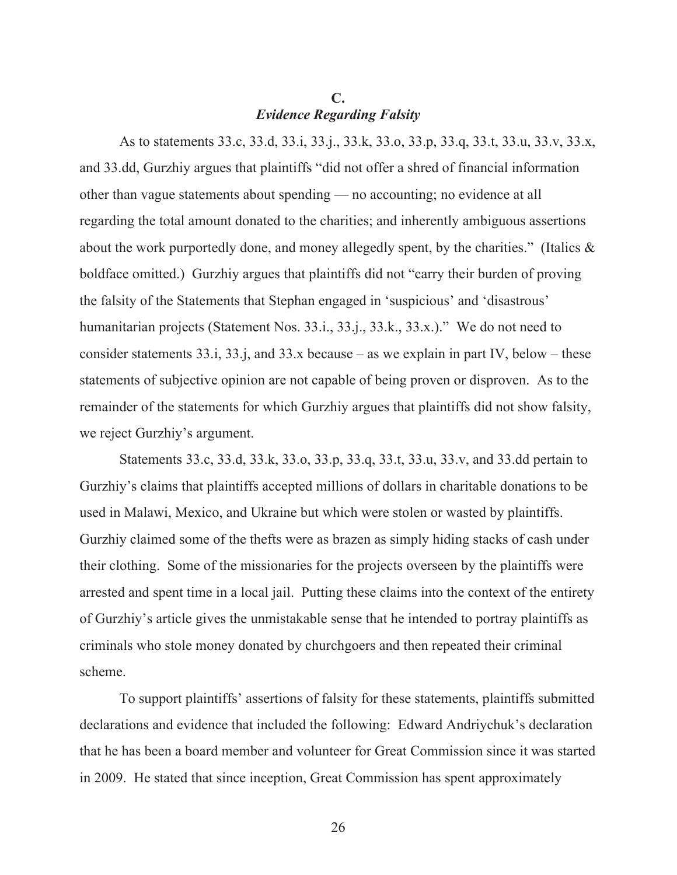## **C.**  *Evidence Regarding Falsity*

As to statements 33.c, 33.d, 33.i, 33.j., 33.k, 33.o, 33.p, 33.q, 33.t, 33.u, 33.v, 33.x, and 33.dd, Gurzhiy argues that plaintiffs "did not offer a shred of financial information other than vague statements about spending — no accounting; no evidence at all regarding the total amount donated to the charities; and inherently ambiguous assertions about the work purportedly done, and money allegedly spent, by the charities." (Italics & boldface omitted.) Gurzhiy argues that plaintiffs did not "carry their burden of proving the falsity of the Statements that Stephan engaged in 'suspicious' and 'disastrous' humanitarian projects (Statement Nos. 33.i., 33.j., 33.k., 33.x.)." We do not need to consider statements  $33.i, 33.i,$  and  $33.x$  because – as we explain in part IV, below – these statements of subjective opinion are not capable of being proven or disproven. As to the remainder of the statements for which Gurzhiy argues that plaintiffs did not show falsity, we reject Gurzhiy's argument.

Statements 33.c, 33.d, 33.k, 33.o, 33.p, 33.q, 33.t, 33.u, 33.v, and 33.dd pertain to Gurzhiy's claims that plaintiffs accepted millions of dollars in charitable donations to be used in Malawi, Mexico, and Ukraine but which were stolen or wasted by plaintiffs. Gurzhiy claimed some of the thefts were as brazen as simply hiding stacks of cash under their clothing. Some of the missionaries for the projects overseen by the plaintiffs were arrested and spent time in a local jail. Putting these claims into the context of the entirety of Gurzhiy's article gives the unmistakable sense that he intended to portray plaintiffs as criminals who stole money donated by churchgoers and then repeated their criminal scheme.

To support plaintiffs' assertions of falsity for these statements, plaintiffs submitted declarations and evidence that included the following: Edward Andriychuk's declaration that he has been a board member and volunteer for Great Commission since it was started in 2009. He stated that since inception, Great Commission has spent approximately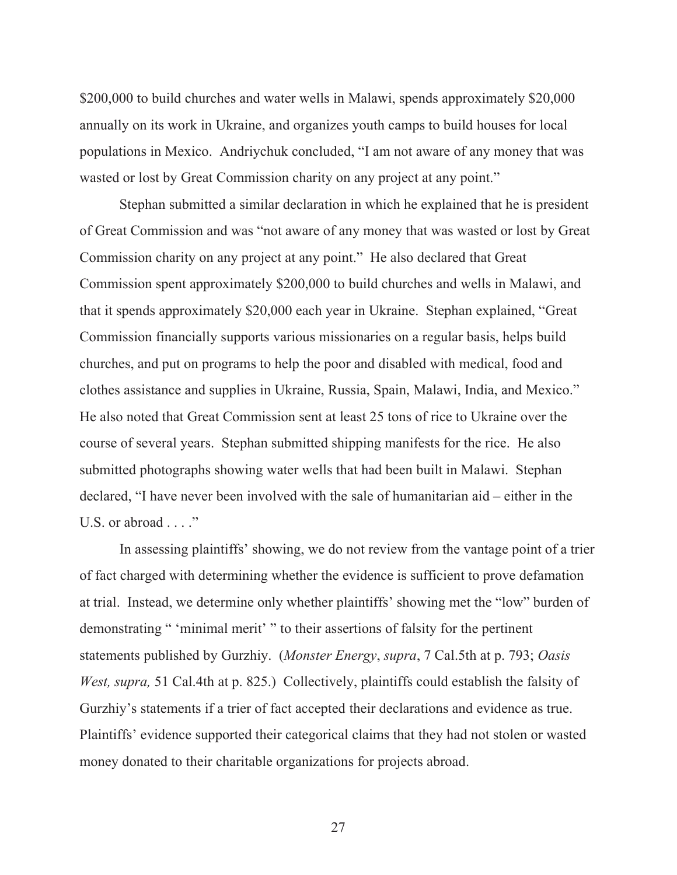\$200,000 to build churches and water wells in Malawi, spends approximately \$20,000 annually on its work in Ukraine, and organizes youth camps to build houses for local populations in Mexico. Andriychuk concluded, "I am not aware of any money that was wasted or lost by Great Commission charity on any project at any point."

Stephan submitted a similar declaration in which he explained that he is president of Great Commission and was "not aware of any money that was wasted or lost by Great Commission charity on any project at any point." He also declared that Great Commission spent approximately \$200,000 to build churches and wells in Malawi, and that it spends approximately \$20,000 each year in Ukraine. Stephan explained, "Great Commission financially supports various missionaries on a regular basis, helps build churches, and put on programs to help the poor and disabled with medical, food and clothes assistance and supplies in Ukraine, Russia, Spain, Malawi, India, and Mexico." He also noted that Great Commission sent at least 25 tons of rice to Ukraine over the course of several years. Stephan submitted shipping manifests for the rice. He also submitted photographs showing water wells that had been built in Malawi. Stephan declared, "I have never been involved with the sale of humanitarian aid – either in the U.S. or abroad . . . ."

In assessing plaintiffs' showing, we do not review from the vantage point of a trier of fact charged with determining whether the evidence is sufficient to prove defamation at trial. Instead, we determine only whether plaintiffs' showing met the "low" burden of demonstrating " 'minimal merit' " to their assertions of falsity for the pertinent statements published by Gurzhiy. (*Monster Energy*, *supra*, 7 Cal.5th at p. 793; *Oasis West, supra,* 51 Cal.4th at p. 825.) Collectively, plaintiffs could establish the falsity of Gurzhiy's statements if a trier of fact accepted their declarations and evidence as true. Plaintiffs' evidence supported their categorical claims that they had not stolen or wasted money donated to their charitable organizations for projects abroad.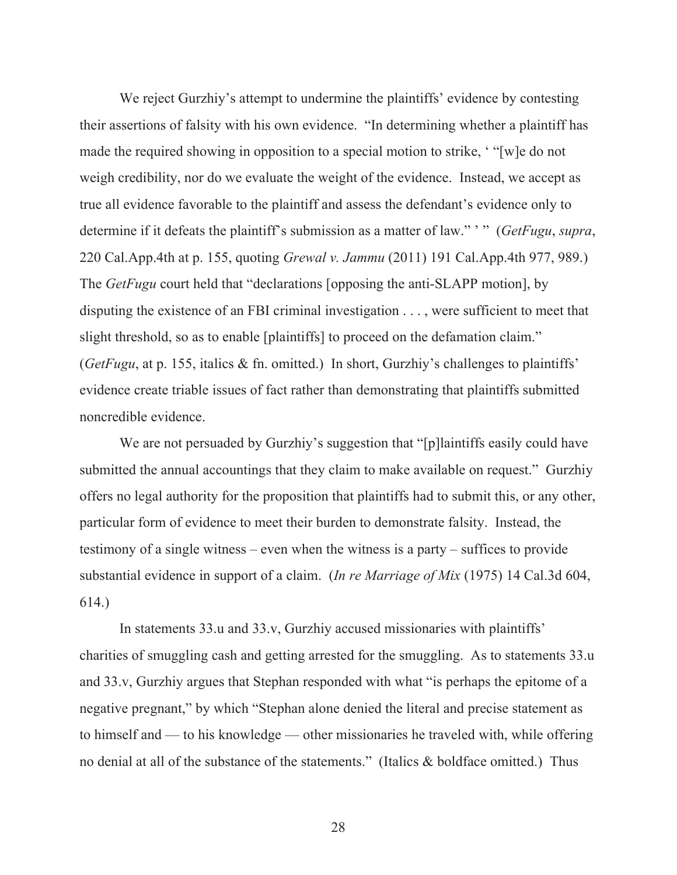We reject Gurzhiy's attempt to undermine the plaintiffs' evidence by contesting their assertions of falsity with his own evidence. "In determining whether a plaintiff has made the required showing in opposition to a special motion to strike, ' "[w]e do not weigh credibility, nor do we evaluate the weight of the evidence. Instead, we accept as true all evidence favorable to the plaintiff and assess the defendant's evidence only to determine if it defeats the plaintiff's submission as a matter of law." ' " (*GetFugu*, *supra*, 220 Cal.App.4th at p. 155, quoting *Grewal v. Jammu* (2011) 191 Cal.App.4th 977, 989.) The *GetFugu* court held that "declarations [opposing the anti-SLAPP motion], by disputing the existence of an FBI criminal investigation . . . , were sufficient to meet that slight threshold, so as to enable [plaintiffs] to proceed on the defamation claim." (*GetFugu*, at p. 155, italics & fn. omitted.) In short, Gurzhiy's challenges to plaintiffs' evidence create triable issues of fact rather than demonstrating that plaintiffs submitted noncredible evidence.

We are not persuaded by Gurzhiy's suggestion that "[p] laintiffs easily could have submitted the annual accountings that they claim to make available on request." Gurzhiy offers no legal authority for the proposition that plaintiffs had to submit this, or any other, particular form of evidence to meet their burden to demonstrate falsity. Instead, the testimony of a single witness – even when the witness is a party – suffices to provide substantial evidence in support of a claim. (*In re Marriage of Mix* (1975) 14 Cal.3d 604, 614.)

In statements 33.u and 33.v, Gurzhiy accused missionaries with plaintiffs' charities of smuggling cash and getting arrested for the smuggling. As to statements 33.u and 33.v, Gurzhiy argues that Stephan responded with what "is perhaps the epitome of a negative pregnant," by which "Stephan alone denied the literal and precise statement as to himself and — to his knowledge — other missionaries he traveled with, while offering no denial at all of the substance of the statements." (Italics & boldface omitted.) Thus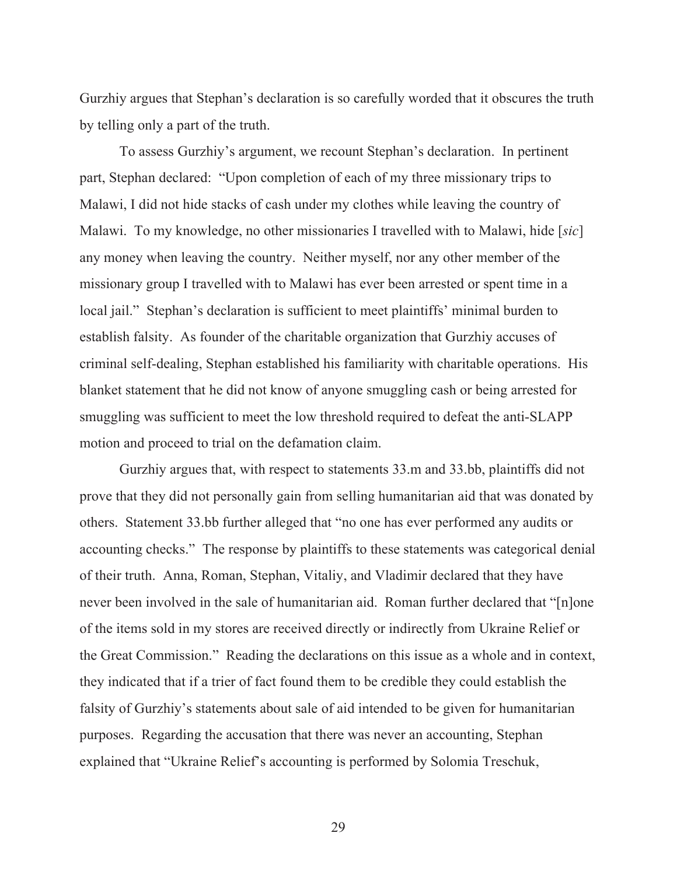Gurzhiy argues that Stephan's declaration is so carefully worded that it obscures the truth by telling only a part of the truth.

To assess Gurzhiy's argument, we recount Stephan's declaration. In pertinent part, Stephan declared: "Upon completion of each of my three missionary trips to Malawi, I did not hide stacks of cash under my clothes while leaving the country of Malawi. To my knowledge, no other missionaries I travelled with to Malawi, hide [*sic*] any money when leaving the country. Neither myself, nor any other member of the missionary group I travelled with to Malawi has ever been arrested or spent time in a local jail." Stephan's declaration is sufficient to meet plaintiffs' minimal burden to establish falsity. As founder of the charitable organization that Gurzhiy accuses of criminal self-dealing, Stephan established his familiarity with charitable operations. His blanket statement that he did not know of anyone smuggling cash or being arrested for smuggling was sufficient to meet the low threshold required to defeat the anti-SLAPP motion and proceed to trial on the defamation claim.

Gurzhiy argues that, with respect to statements 33.m and 33.bb, plaintiffs did not prove that they did not personally gain from selling humanitarian aid that was donated by others. Statement 33.bb further alleged that "no one has ever performed any audits or accounting checks." The response by plaintiffs to these statements was categorical denial of their truth. Anna, Roman, Stephan, Vitaliy, and Vladimir declared that they have never been involved in the sale of humanitarian aid. Roman further declared that "[n]one of the items sold in my stores are received directly or indirectly from Ukraine Relief or the Great Commission." Reading the declarations on this issue as a whole and in context, they indicated that if a trier of fact found them to be credible they could establish the falsity of Gurzhiy's statements about sale of aid intended to be given for humanitarian purposes. Regarding the accusation that there was never an accounting, Stephan explained that "Ukraine Relief's accounting is performed by Solomia Treschuk,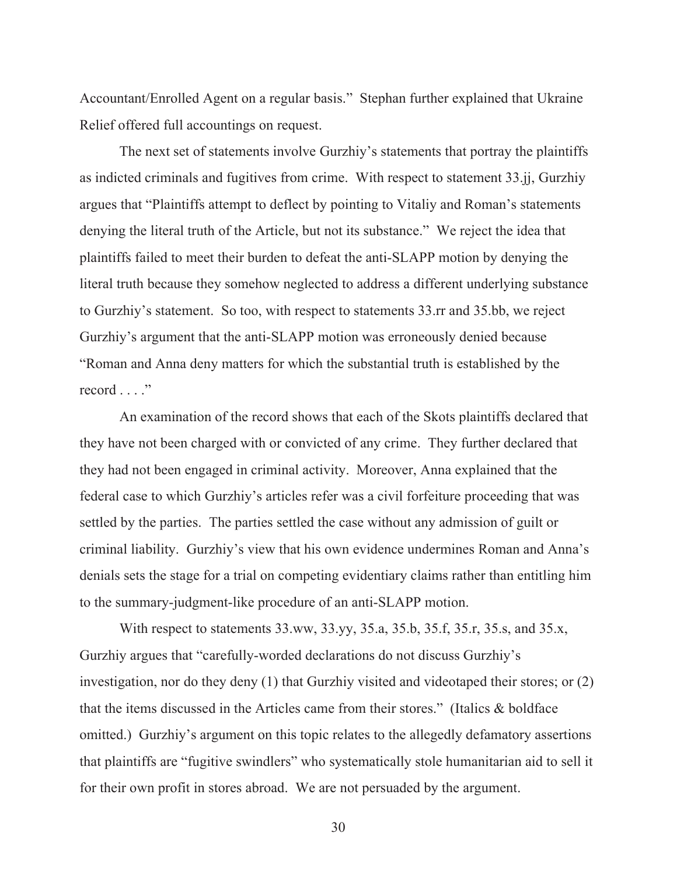Accountant/Enrolled Agent on a regular basis." Stephan further explained that Ukraine Relief offered full accountings on request.

The next set of statements involve Gurzhiy's statements that portray the plaintiffs as indicted criminals and fugitives from crime. With respect to statement 33.jj, Gurzhiy argues that "Plaintiffs attempt to deflect by pointing to Vitaliy and Roman's statements denying the literal truth of the Article, but not its substance." We reject the idea that plaintiffs failed to meet their burden to defeat the anti-SLAPP motion by denying the literal truth because they somehow neglected to address a different underlying substance to Gurzhiy's statement. So too, with respect to statements 33.rr and 35.bb, we reject Gurzhiy's argument that the anti-SLAPP motion was erroneously denied because "Roman and Anna deny matters for which the substantial truth is established by the record . . . ."

An examination of the record shows that each of the Skots plaintiffs declared that they have not been charged with or convicted of any crime. They further declared that they had not been engaged in criminal activity. Moreover, Anna explained that the federal case to which Gurzhiy's articles refer was a civil forfeiture proceeding that was settled by the parties. The parties settled the case without any admission of guilt or criminal liability. Gurzhiy's view that his own evidence undermines Roman and Anna's denials sets the stage for a trial on competing evidentiary claims rather than entitling him to the summary-judgment-like procedure of an anti-SLAPP motion.

With respect to statements 33.ww, 33.yy, 35.a, 35.b, 35.f, 35.r, 35.s, and 35.x, Gurzhiy argues that "carefully-worded declarations do not discuss Gurzhiy's investigation, nor do they deny (1) that Gurzhiy visited and videotaped their stores; or (2) that the items discussed in the Articles came from their stores." (Italics & boldface omitted.) Gurzhiy's argument on this topic relates to the allegedly defamatory assertions that plaintiffs are "fugitive swindlers" who systematically stole humanitarian aid to sell it for their own profit in stores abroad. We are not persuaded by the argument.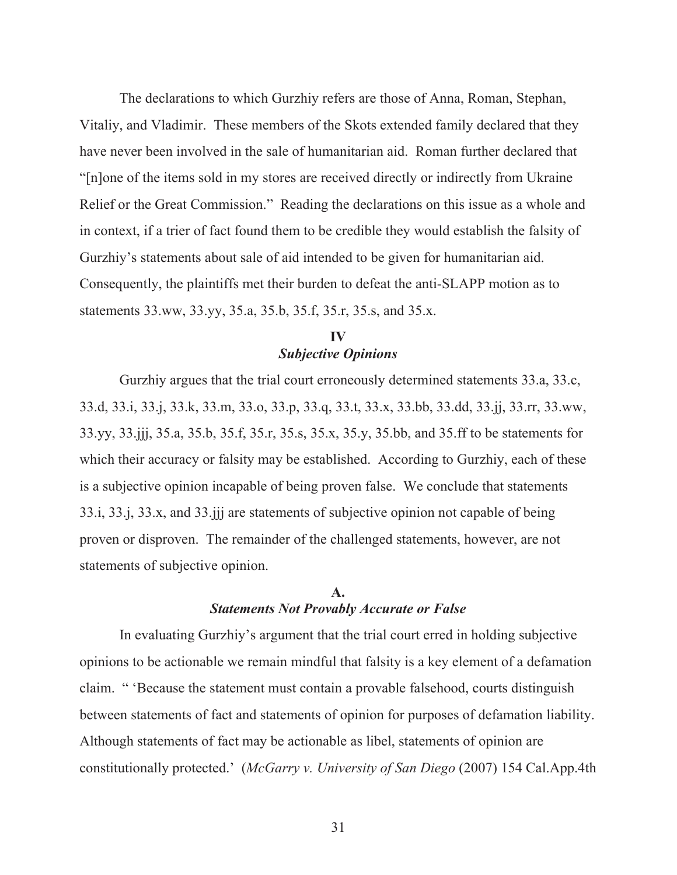The declarations to which Gurzhiy refers are those of Anna, Roman, Stephan, Vitaliy, and Vladimir. These members of the Skots extended family declared that they have never been involved in the sale of humanitarian aid. Roman further declared that "[n]one of the items sold in my stores are received directly or indirectly from Ukraine Relief or the Great Commission." Reading the declarations on this issue as a whole and in context, if a trier of fact found them to be credible they would establish the falsity of Gurzhiy's statements about sale of aid intended to be given for humanitarian aid. Consequently, the plaintiffs met their burden to defeat the anti-SLAPP motion as to statements 33.ww, 33.yy, 35.a, 35.b, 35.f, 35.r, 35.s, and 35.x.

## **IV**  *Subjective Opinions*

Gurzhiy argues that the trial court erroneously determined statements 33.a, 33.c, 33.d, 33.i, 33.j, 33.k, 33.m, 33.o, 33.p, 33.q, 33.t, 33.x, 33.bb, 33.dd, 33.jj, 33.rr, 33.ww, 33.yy, 33.jjj, 35.a, 35.b, 35.f, 35.r, 35.s, 35.x, 35.y, 35.bb, and 35.ff to be statements for which their accuracy or falsity may be established. According to Gurzhiy, each of these is a subjective opinion incapable of being proven false. We conclude that statements 33.i, 33.j, 33.x, and 33.jjj are statements of subjective opinion not capable of being proven or disproven. The remainder of the challenged statements, however, are not statements of subjective opinion.

#### **A.**  *Statements Not Provably Accurate or False*

In evaluating Gurzhiy's argument that the trial court erred in holding subjective opinions to be actionable we remain mindful that falsity is a key element of a defamation claim. " 'Because the statement must contain a provable falsehood, courts distinguish between statements of fact and statements of opinion for purposes of defamation liability. Although statements of fact may be actionable as libel, statements of opinion are constitutionally protected.' (*McGarry v. University of San Diego* (2007) 154 Cal.App.4th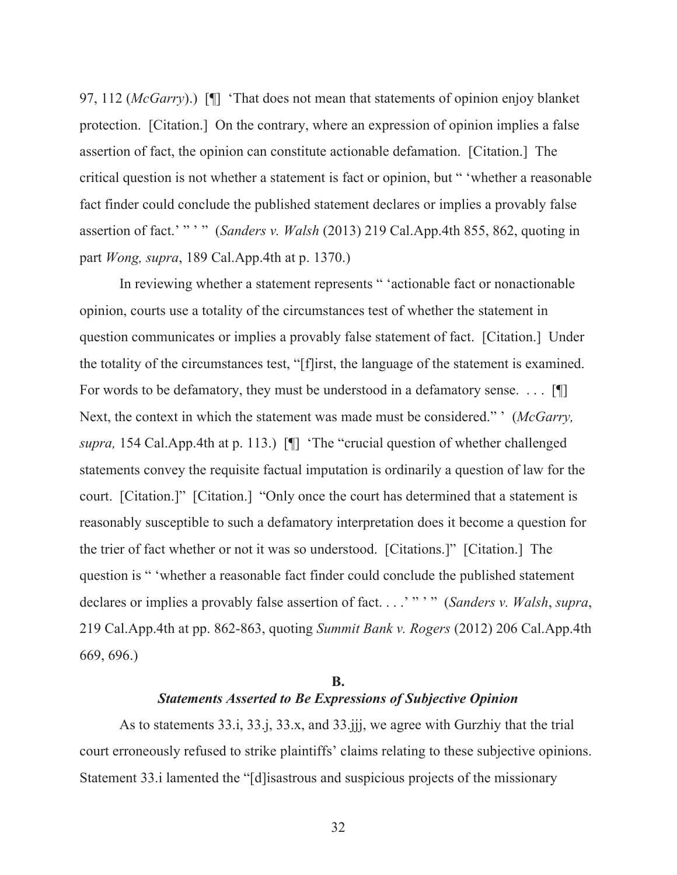97, 112 (*McGarry*).) [¶] 'That does not mean that statements of opinion enjoy blanket protection. [Citation.] On the contrary, where an expression of opinion implies a false assertion of fact, the opinion can constitute actionable defamation. [Citation.] The critical question is not whether a statement is fact or opinion, but " 'whether a reasonable fact finder could conclude the published statement declares or implies a provably false assertion of fact.' " ' " (*Sanders v. Walsh* (2013) 219 Cal.App.4th 855, 862, quoting in part *Wong, supra*, 189 Cal.App.4th at p. 1370.)

In reviewing whether a statement represents " 'actionable fact or nonactionable opinion, courts use a totality of the circumstances test of whether the statement in question communicates or implies a provably false statement of fact. [Citation.] Under the totality of the circumstances test, "[f]irst, the language of the statement is examined. For words to be defamatory, they must be understood in a defamatory sense. . . . [¶] Next, the context in which the statement was made must be considered." ' (*McGarry, supra,* 154 Cal.App.4th at p. 113.) [¶] 'The "crucial question of whether challenged statements convey the requisite factual imputation is ordinarily a question of law for the court. [Citation.]" [Citation.] "Only once the court has determined that a statement is reasonably susceptible to such a defamatory interpretation does it become a question for the trier of fact whether or not it was so understood. [Citations.]" [Citation.] The question is " 'whether a reasonable fact finder could conclude the published statement declares or implies a provably false assertion of fact. . . .' " ' " (*Sanders v. Walsh*, *supra*, 219 Cal.App.4th at pp. 862-863, quoting *Summit Bank v. Rogers* (2012) 206 Cal.App.4th 669, 696.)

### **B.**  *Statements Asserted to Be Expressions of Subjective Opinion*

As to statements 33.i, 33.j, 33.x, and 33.jjj, we agree with Gurzhiy that the trial court erroneously refused to strike plaintiffs' claims relating to these subjective opinions. Statement 33.i lamented the "[d]isastrous and suspicious projects of the missionary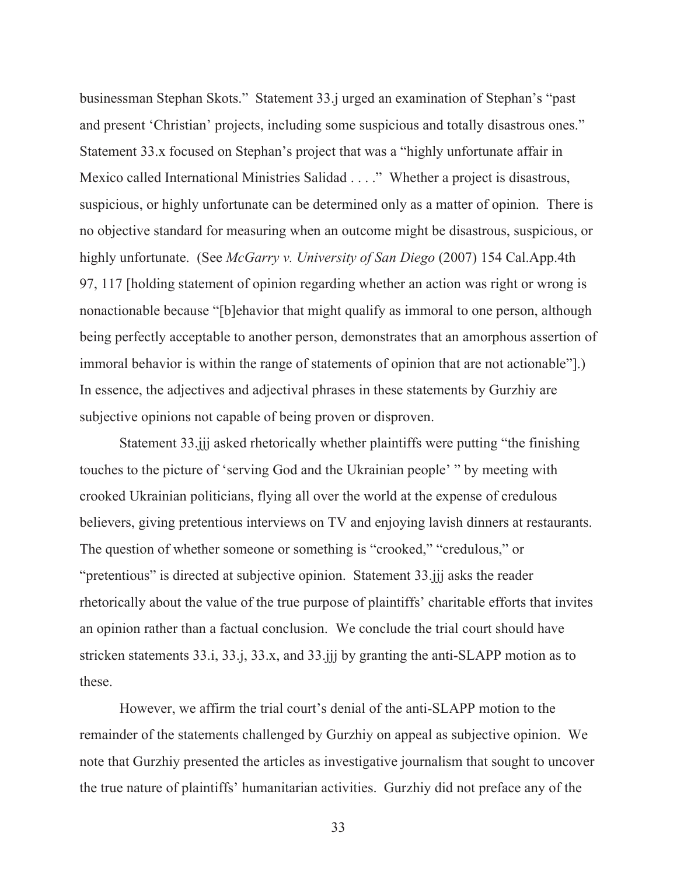businessman Stephan Skots." Statement 33.j urged an examination of Stephan's "past and present 'Christian' projects, including some suspicious and totally disastrous ones." Statement 33.x focused on Stephan's project that was a "highly unfortunate affair in Mexico called International Ministries Salidad . . . ." Whether a project is disastrous, suspicious, or highly unfortunate can be determined only as a matter of opinion. There is no objective standard for measuring when an outcome might be disastrous, suspicious, or highly unfortunate. (See *McGarry v. University of San Diego* (2007) 154 Cal.App.4th 97, 117 [holding statement of opinion regarding whether an action was right or wrong is nonactionable because "[b]ehavior that might qualify as immoral to one person, although being perfectly acceptable to another person, demonstrates that an amorphous assertion of immoral behavior is within the range of statements of opinion that are not actionable"].) In essence, the adjectives and adjectival phrases in these statements by Gurzhiy are subjective opinions not capable of being proven or disproven.

Statement 33.jjj asked rhetorically whether plaintiffs were putting "the finishing touches to the picture of 'serving God and the Ukrainian people' " by meeting with crooked Ukrainian politicians, flying all over the world at the expense of credulous believers, giving pretentious interviews on TV and enjoying lavish dinners at restaurants. The question of whether someone or something is "crooked," "credulous," or "pretentious" is directed at subjective opinion. Statement 33.jjj asks the reader rhetorically about the value of the true purpose of plaintiffs' charitable efforts that invites an opinion rather than a factual conclusion. We conclude the trial court should have stricken statements 33.i, 33.j, 33.x, and 33.jjj by granting the anti-SLAPP motion as to these.

However, we affirm the trial court's denial of the anti-SLAPP motion to the remainder of the statements challenged by Gurzhiy on appeal as subjective opinion. We note that Gurzhiy presented the articles as investigative journalism that sought to uncover the true nature of plaintiffs' humanitarian activities. Gurzhiy did not preface any of the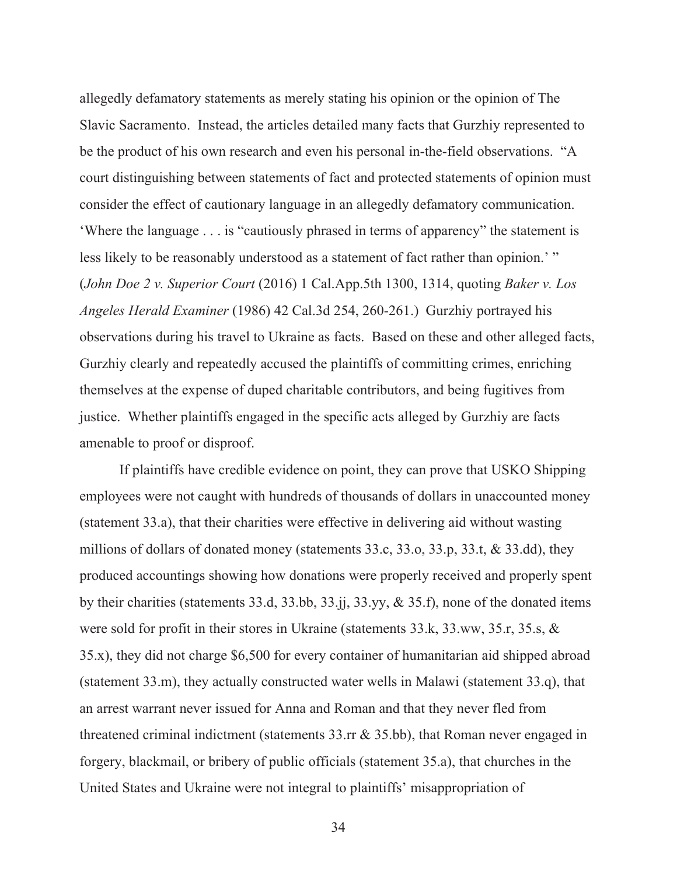allegedly defamatory statements as merely stating his opinion or the opinion of The Slavic Sacramento. Instead, the articles detailed many facts that Gurzhiy represented to be the product of his own research and even his personal in-the-field observations. "A court distinguishing between statements of fact and protected statements of opinion must consider the effect of cautionary language in an allegedly defamatory communication. 'Where the language . . . is "cautiously phrased in terms of apparency" the statement is less likely to be reasonably understood as a statement of fact rather than opinion.' " (*John Doe 2 v. Superior Court* (2016) 1 Cal.App.5th 1300, 1314, quoting *Baker v. Los Angeles Herald Examiner* (1986) 42 Cal.3d 254, 260-261.) Gurzhiy portrayed his observations during his travel to Ukraine as facts. Based on these and other alleged facts, Gurzhiy clearly and repeatedly accused the plaintiffs of committing crimes, enriching themselves at the expense of duped charitable contributors, and being fugitives from justice. Whether plaintiffs engaged in the specific acts alleged by Gurzhiy are facts amenable to proof or disproof.

If plaintiffs have credible evidence on point, they can prove that USKO Shipping employees were not caught with hundreds of thousands of dollars in unaccounted money (statement 33.a), that their charities were effective in delivering aid without wasting millions of dollars of donated money (statements 33.c, 33.o, 33.p, 33.t, & 33.dd), they produced accountings showing how donations were properly received and properly spent by their charities (statements 33.d, 33.bb, 33.jj, 33.yy, & 35.f), none of the donated items were sold for profit in their stores in Ukraine (statements 33.k, 33.ww, 35.r, 35.s, & 35.x), they did not charge \$6,500 for every container of humanitarian aid shipped abroad (statement 33.m), they actually constructed water wells in Malawi (statement 33.q), that an arrest warrant never issued for Anna and Roman and that they never fled from threatened criminal indictment (statements 33.rr & 35.bb), that Roman never engaged in forgery, blackmail, or bribery of public officials (statement 35.a), that churches in the United States and Ukraine were not integral to plaintiffs' misappropriation of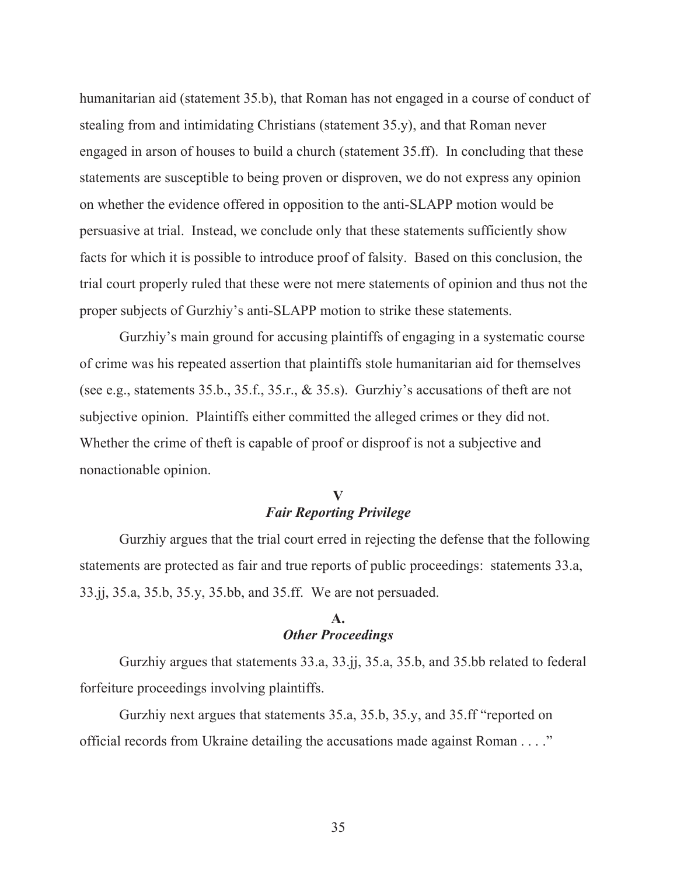humanitarian aid (statement 35.b), that Roman has not engaged in a course of conduct of stealing from and intimidating Christians (statement 35.y), and that Roman never engaged in arson of houses to build a church (statement 35.ff). In concluding that these statements are susceptible to being proven or disproven, we do not express any opinion on whether the evidence offered in opposition to the anti-SLAPP motion would be persuasive at trial. Instead, we conclude only that these statements sufficiently show facts for which it is possible to introduce proof of falsity. Based on this conclusion, the trial court properly ruled that these were not mere statements of opinion and thus not the proper subjects of Gurzhiy's anti-SLAPP motion to strike these statements.

Gurzhiy's main ground for accusing plaintiffs of engaging in a systematic course of crime was his repeated assertion that plaintiffs stole humanitarian aid for themselves (see e.g., statements 35.b., 35.f., 35.r., & 35.s). Gurzhiy's accusations of theft are not subjective opinion. Plaintiffs either committed the alleged crimes or they did not. Whether the crime of theft is capable of proof or disproof is not a subjective and nonactionable opinion.

#### **V**  *Fair Reporting Privilege*

Gurzhiy argues that the trial court erred in rejecting the defense that the following statements are protected as fair and true reports of public proceedings: statements 33.a, 33.jj, 35.a, 35.b, 35.y, 35.bb, and 35.ff. We are not persuaded.

## **A.**  *Other Proceedings*

Gurzhiy argues that statements 33.a, 33.jj, 35.a, 35.b, and 35.bb related to federal forfeiture proceedings involving plaintiffs.

Gurzhiy next argues that statements 35.a, 35.b, 35.y, and 35.ff "reported on official records from Ukraine detailing the accusations made against Roman . . . ."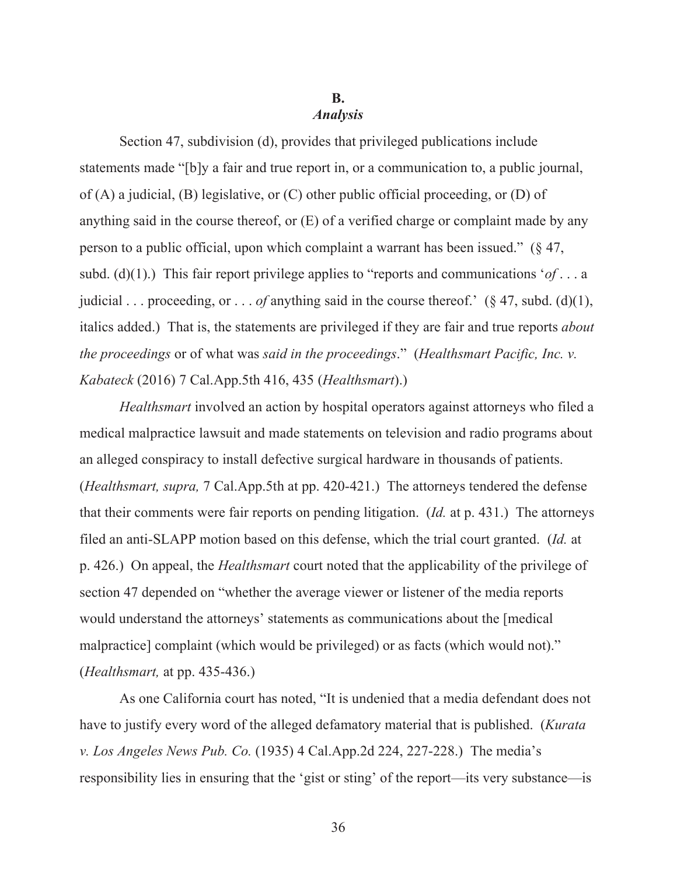# **B.**

#### *Analysis*

Section 47, subdivision (d), provides that privileged publications include statements made "[b]y a fair and true report in, or a communication to, a public journal, of (A) a judicial, (B) legislative, or (C) other public official proceeding, or (D) of anything said in the course thereof, or (E) of a verified charge or complaint made by any person to a public official, upon which complaint a warrant has been issued." (§ 47, subd. (d)(1).) This fair report privilege applies to "reports and communications '*of* . . . a judicial . . . proceeding, or . . . *of* anything said in the course thereof.' (§ 47, subd. (d)(1), italics added.) That is, the statements are privileged if they are fair and true reports *about the proceedings* or of what was *said in the proceedings*." (*Healthsmart Pacific, Inc. v. Kabateck* (2016) 7 Cal.App.5th 416, 435 (*Healthsmart*).)

*Healthsmart* involved an action by hospital operators against attorneys who filed a medical malpractice lawsuit and made statements on television and radio programs about an alleged conspiracy to install defective surgical hardware in thousands of patients. (*Healthsmart, supra,* 7 Cal.App.5th at pp. 420-421.) The attorneys tendered the defense that their comments were fair reports on pending litigation. (*Id.* at p. 431.) The attorneys filed an anti-SLAPP motion based on this defense, which the trial court granted. (*Id.* at p. 426.) On appeal, the *Healthsmart* court noted that the applicability of the privilege of section 47 depended on "whether the average viewer or listener of the media reports would understand the attorneys' statements as communications about the [medical malpractice] complaint (which would be privileged) or as facts (which would not)." (*Healthsmart,* at pp. 435-436.)

As one California court has noted, "It is undenied that a media defendant does not have to justify every word of the alleged defamatory material that is published. (*Kurata v. Los Angeles News Pub. Co.* (1935) 4 Cal.App.2d 224, 227-228.) The media's responsibility lies in ensuring that the 'gist or sting' of the report—its very substance—is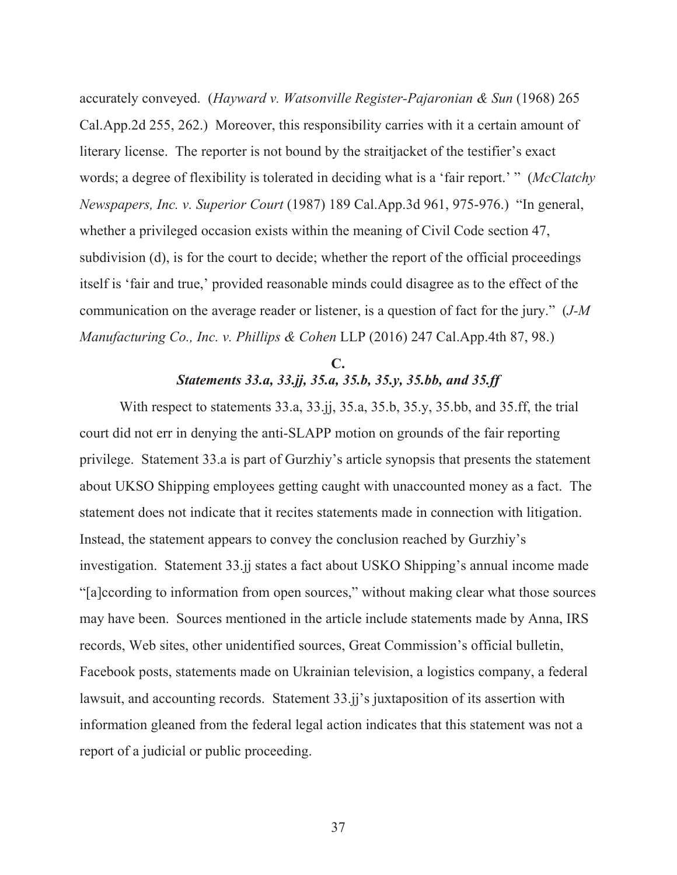accurately conveyed. (*Hayward v. Watsonville Register-Pajaronian & Sun* (1968) 265 Cal.App.2d 255, 262.) Moreover, this responsibility carries with it a certain amount of literary license. The reporter is not bound by the straitjacket of the testifier's exact words; a degree of flexibility is tolerated in deciding what is a 'fair report.' " (*McClatchy Newspapers, Inc. v. Superior Court* (1987) 189 Cal.App.3d 961, 975-976.) "In general, whether a privileged occasion exists within the meaning of Civil Code section 47, subdivision (d), is for the court to decide; whether the report of the official proceedings itself is 'fair and true,' provided reasonable minds could disagree as to the effect of the communication on the average reader or listener, is a question of fact for the jury." (*J-M Manufacturing Co., Inc. v. Phillips & Cohen* LLP (2016) 247 Cal.App.4th 87, 98.)

## **C.**  *Statements 33.a, 33.jj, 35.a, 35.b, 35.y, 35.bb, and 35.ff*

With respect to statements 33.a, 33.jj, 35.a, 35.b, 35.y, 35.bb, and 35.ff, the trial court did not err in denying the anti-SLAPP motion on grounds of the fair reporting privilege. Statement 33.a is part of Gurzhiy's article synopsis that presents the statement about UKSO Shipping employees getting caught with unaccounted money as a fact. The statement does not indicate that it recites statements made in connection with litigation. Instead, the statement appears to convey the conclusion reached by Gurzhiy's investigation. Statement 33.jj states a fact about USKO Shipping's annual income made "[a]ccording to information from open sources," without making clear what those sources may have been. Sources mentioned in the article include statements made by Anna, IRS records, Web sites, other unidentified sources, Great Commission's official bulletin, Facebook posts, statements made on Ukrainian television, a logistics company, a federal lawsuit, and accounting records. Statement 33.jj's juxtaposition of its assertion with information gleaned from the federal legal action indicates that this statement was not a report of a judicial or public proceeding.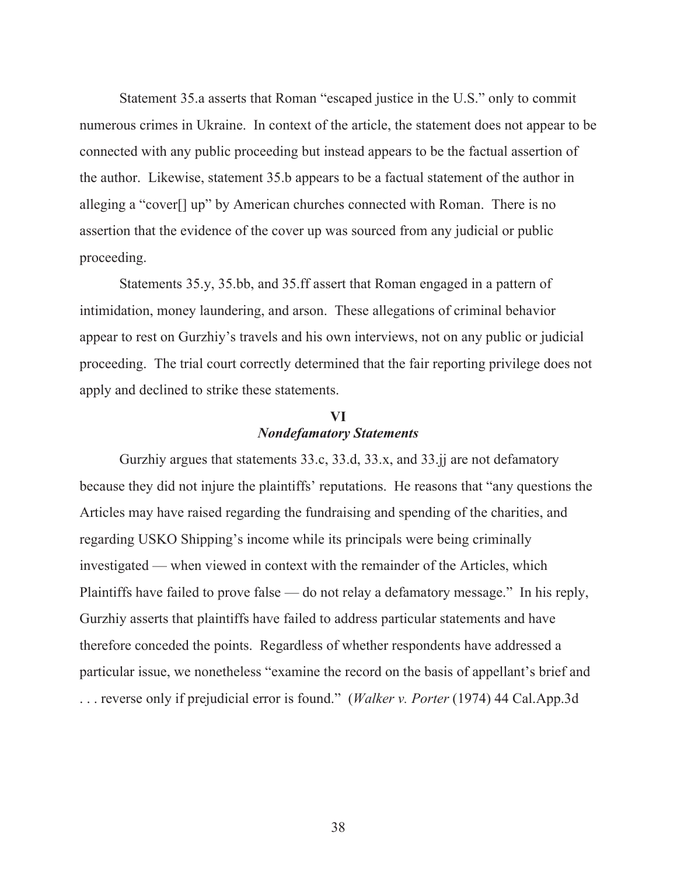Statement 35.a asserts that Roman "escaped justice in the U.S." only to commit numerous crimes in Ukraine. In context of the article, the statement does not appear to be connected with any public proceeding but instead appears to be the factual assertion of the author. Likewise, statement 35.b appears to be a factual statement of the author in alleging a "cover[] up" by American churches connected with Roman. There is no assertion that the evidence of the cover up was sourced from any judicial or public proceeding.

Statements 35.y, 35.bb, and 35.ff assert that Roman engaged in a pattern of intimidation, money laundering, and arson. These allegations of criminal behavior appear to rest on Gurzhiy's travels and his own interviews, not on any public or judicial proceeding. The trial court correctly determined that the fair reporting privilege does not apply and declined to strike these statements.

## **VI**  *Nondefamatory Statements*

Gurzhiy argues that statements 33.c, 33.d, 33.x, and 33.jj are not defamatory because they did not injure the plaintiffs' reputations. He reasons that "any questions the Articles may have raised regarding the fundraising and spending of the charities, and regarding USKO Shipping's income while its principals were being criminally investigated — when viewed in context with the remainder of the Articles, which Plaintiffs have failed to prove false — do not relay a defamatory message." In his reply, Gurzhiy asserts that plaintiffs have failed to address particular statements and have therefore conceded the points. Regardless of whether respondents have addressed a particular issue, we nonetheless "examine the record on the basis of appellant's brief and . . . reverse only if prejudicial error is found." (*Walker v. Porter* (1974) 44 Cal.App.3d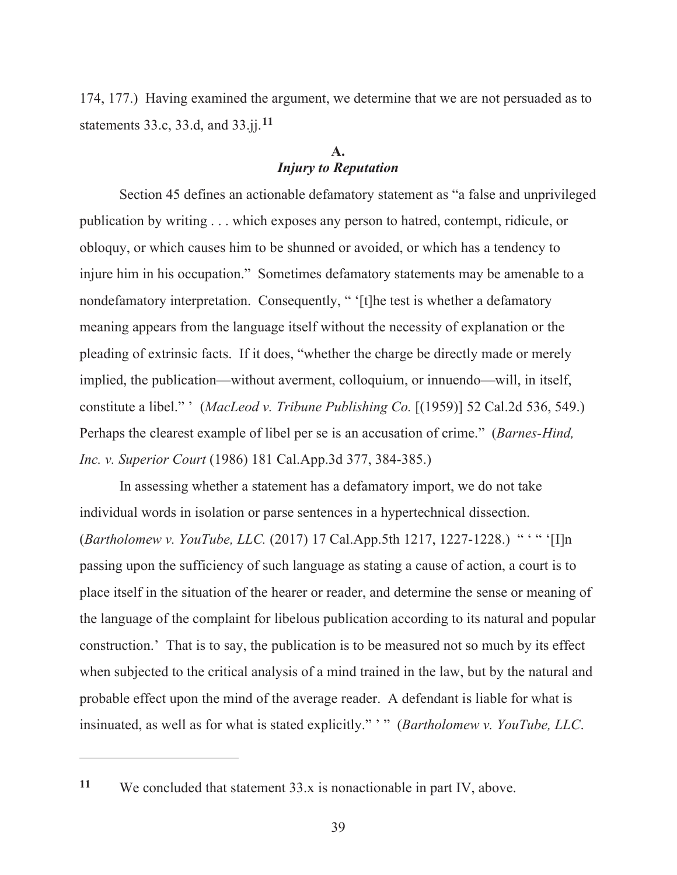174, 177.) Having examined the argument, we determine that we are not persuaded as to statements 33.c, 33.d, and 33.jj.**<sup>11</sup>**

## **A.**  *Injury to Reputation*

Section 45 defines an actionable defamatory statement as "a false and unprivileged publication by writing . . . which exposes any person to hatred, contempt, ridicule, or obloquy, or which causes him to be shunned or avoided, or which has a tendency to injure him in his occupation." Sometimes defamatory statements may be amenable to a nondefamatory interpretation. Consequently, " '[t]he test is whether a defamatory meaning appears from the language itself without the necessity of explanation or the pleading of extrinsic facts. If it does, "whether the charge be directly made or merely implied, the publication—without averment, colloquium, or innuendo—will, in itself, constitute a libel." ' (*MacLeod v. Tribune Publishing Co.* [(1959)] 52 Cal.2d 536, 549.) Perhaps the clearest example of libel per se is an accusation of crime." (*Barnes-Hind, Inc. v. Superior Court* (1986) 181 Cal.App.3d 377, 384-385.)

In assessing whether a statement has a defamatory import, we do not take individual words in isolation or parse sentences in a hypertechnical dissection. (*Bartholomew v. YouTube, LLC.* (2017) 17 Cal.App.5th 1217, 1227-1228.) " ' " '[I]n passing upon the sufficiency of such language as stating a cause of action, a court is to place itself in the situation of the hearer or reader, and determine the sense or meaning of the language of the complaint for libelous publication according to its natural and popular construction.' That is to say, the publication is to be measured not so much by its effect when subjected to the critical analysis of a mind trained in the law, but by the natural and probable effect upon the mind of the average reader. A defendant is liable for what is insinuated, as well as for what is stated explicitly." ' " (*Bartholomew v. YouTube, LLC*.

**<sup>11</sup>** We concluded that statement 33.x is nonactionable in part IV, above.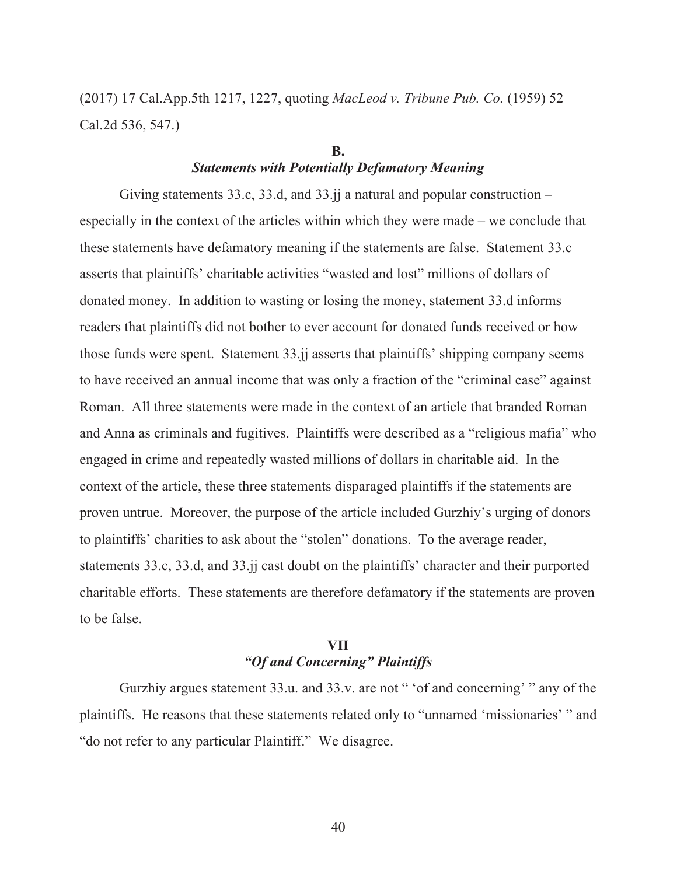(2017) 17 Cal.App.5th 1217, 1227, quoting *MacLeod v. Tribune Pub. Co.* (1959) 52 Cal.2d 536, 547.)

#### **B.**  *Statements with Potentially Defamatory Meaning*

Giving statements 33.c, 33.d, and  $33$ .ji a natural and popular construction – especially in the context of the articles within which they were made – we conclude that these statements have defamatory meaning if the statements are false. Statement 33.c asserts that plaintiffs' charitable activities "wasted and lost" millions of dollars of donated money. In addition to wasting or losing the money, statement 33.d informs readers that plaintiffs did not bother to ever account for donated funds received or how those funds were spent. Statement 33.jj asserts that plaintiffs' shipping company seems to have received an annual income that was only a fraction of the "criminal case" against Roman. All three statements were made in the context of an article that branded Roman and Anna as criminals and fugitives. Plaintiffs were described as a "religious mafia" who engaged in crime and repeatedly wasted millions of dollars in charitable aid. In the context of the article, these three statements disparaged plaintiffs if the statements are proven untrue. Moreover, the purpose of the article included Gurzhiy's urging of donors to plaintiffs' charities to ask about the "stolen" donations. To the average reader, statements 33.c, 33.d, and 33.jj cast doubt on the plaintiffs' character and their purported charitable efforts. These statements are therefore defamatory if the statements are proven to be false.

## **VII**  *"Of and Concerning" Plaintiffs*

Gurzhiy argues statement 33.u. and 33.v. are not " 'of and concerning' " any of the plaintiffs. He reasons that these statements related only to "unnamed 'missionaries' " and "do not refer to any particular Plaintiff." We disagree.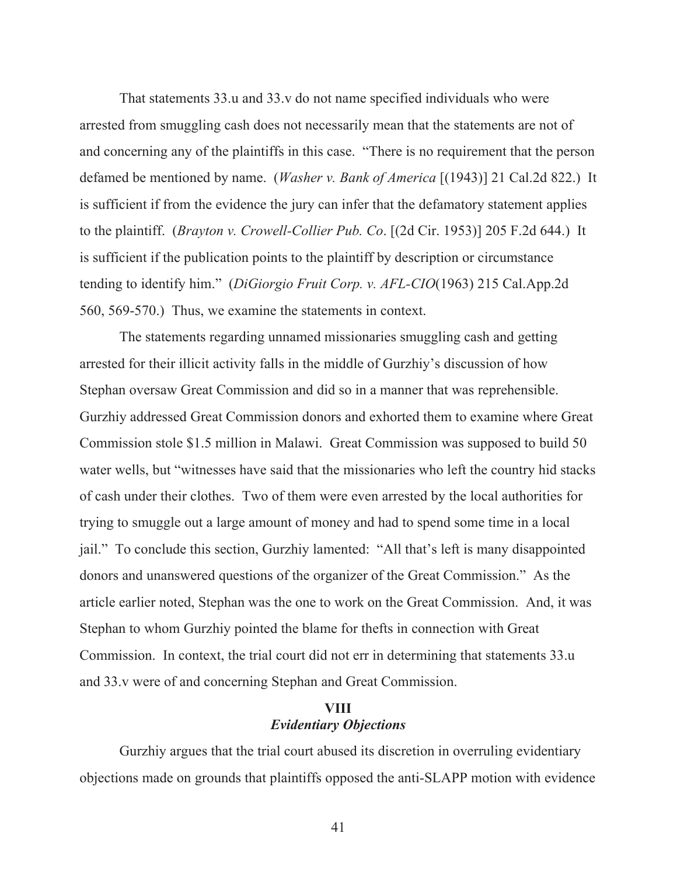That statements 33.u and 33.v do not name specified individuals who were arrested from smuggling cash does not necessarily mean that the statements are not of and concerning any of the plaintiffs in this case. "There is no requirement that the person defamed be mentioned by name. (*Washer v. Bank of America* [(1943)] 21 Cal.2d 822.) It is sufficient if from the evidence the jury can infer that the defamatory statement applies to the plaintiff. (*Brayton v. Crowell-Collier Pub. Co*. [(2d Cir. 1953)] 205 F.2d 644.) It is sufficient if the publication points to the plaintiff by description or circumstance tending to identify him." (*DiGiorgio Fruit Corp. v. AFL-CIO*(1963) 215 Cal.App.2d 560, 569-570.) Thus, we examine the statements in context.

The statements regarding unnamed missionaries smuggling cash and getting arrested for their illicit activity falls in the middle of Gurzhiy's discussion of how Stephan oversaw Great Commission and did so in a manner that was reprehensible. Gurzhiy addressed Great Commission donors and exhorted them to examine where Great Commission stole \$1.5 million in Malawi. Great Commission was supposed to build 50 water wells, but "witnesses have said that the missionaries who left the country hid stacks of cash under their clothes. Two of them were even arrested by the local authorities for trying to smuggle out a large amount of money and had to spend some time in a local jail." To conclude this section, Gurzhiy lamented: "All that's left is many disappointed donors and unanswered questions of the organizer of the Great Commission." As the article earlier noted, Stephan was the one to work on the Great Commission. And, it was Stephan to whom Gurzhiy pointed the blame for thefts in connection with Great Commission. In context, the trial court did not err in determining that statements 33.u and 33.v were of and concerning Stephan and Great Commission.

## **VIII**  *Evidentiary Objections*

Gurzhiy argues that the trial court abused its discretion in overruling evidentiary objections made on grounds that plaintiffs opposed the anti-SLAPP motion with evidence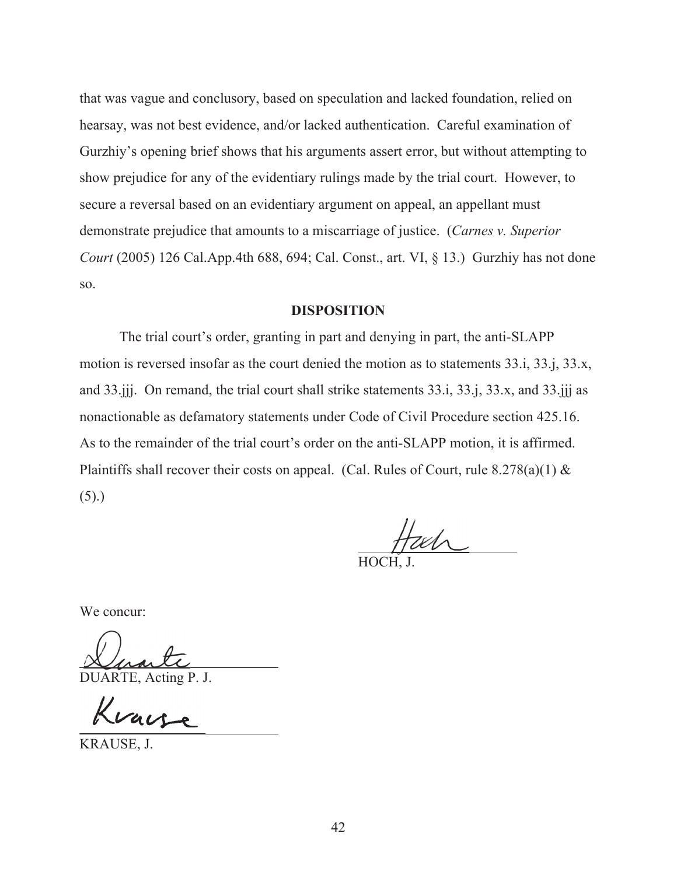that was vague and conclusory, based on speculation and lacked foundation, relied on hearsay, was not best evidence, and/or lacked authentication. Careful examination of Gurzhiy's opening brief shows that his arguments assert error, but without attempting to show prejudice for any of the evidentiary rulings made by the trial court. However, to secure a reversal based on an evidentiary argument on appeal, an appellant must demonstrate prejudice that amounts to a miscarriage of justice. (*Carnes v. Superior Court* (2005) 126 Cal.App.4th 688, 694; Cal. Const., art. VI, § 13.) Gurzhiy has not done so.

#### **DISPOSITION**

The trial court's order, granting in part and denying in part, the anti-SLAPP motion is reversed insofar as the court denied the motion as to statements 33.i, 33.j, 33.x, and 33.jjj. On remand, the trial court shall strike statements 33.i, 33.j, 33.x, and 33.jjj as nonactionable as defamatory statements under Code of Civil Procedure section 425.16. As to the remainder of the trial court's order on the anti-SLAPP motion, it is affirmed. Plaintiffs shall recover their costs on appeal. (Cal. Rules of Court, rule  $8.278(a)(1)$  &  $(5).$ 

 $\overline{a}$ 

HOCH, J.

We concur:

DUARTE, Acting P. J.

Kvaise

KRAUSE, J.